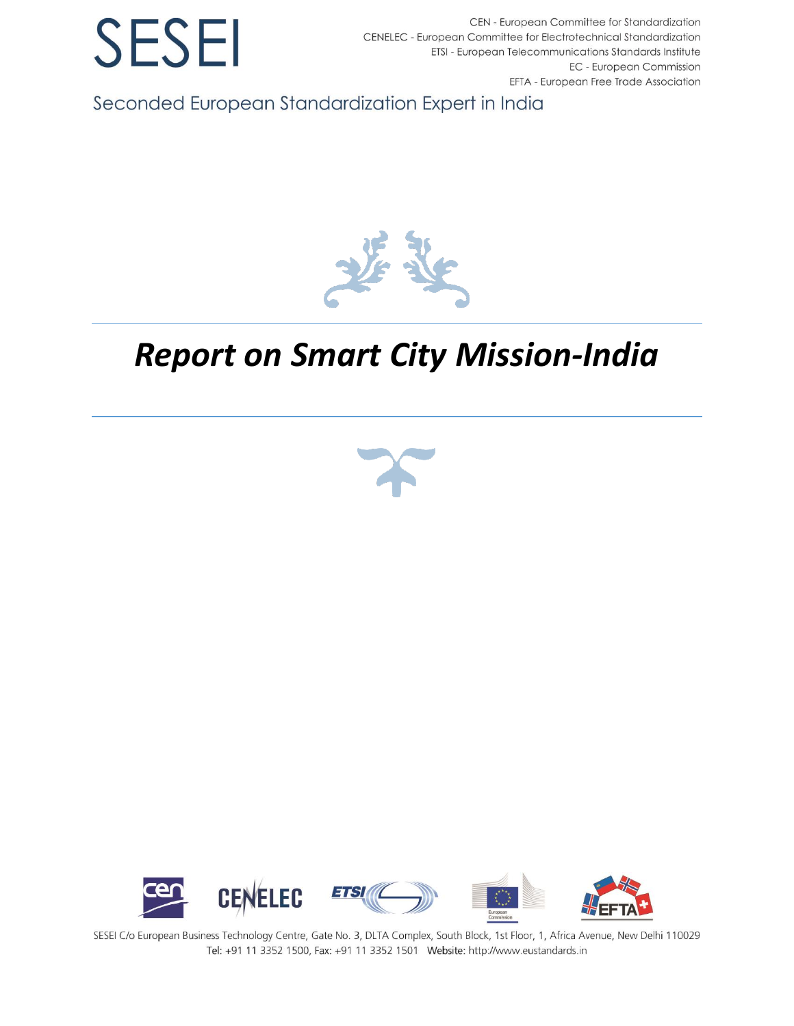

CEN - European Committee for Standardization CENELEC - European Committee for Electrotechnical Standardization ETSI - European Telecommunications Standards Institute **EC** - European Commission EFTA - European Free Trade Association

Seconded European Standardization Expert in India



### *Report on Smart City Mission-India*





SESEI C/o European Business Technology Centre, Gate No. 3, DLTA Complex, South Block, 1st Floor, 1, Africa Avenue, New Delhi 110029 Tel: +91 11 3352 1500, Fax: +91 11 3352 1501 Website: http://www.eustandards.in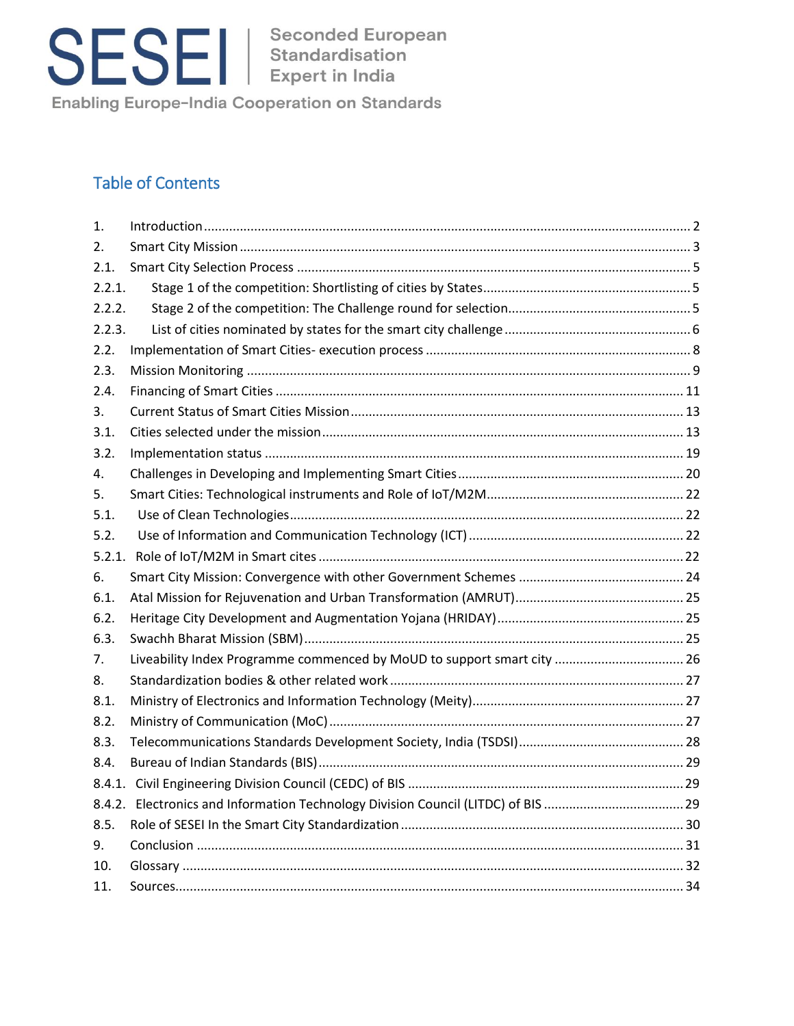

#### Table of Contents

| 1.     |                                                                         |  |
|--------|-------------------------------------------------------------------------|--|
| 2.     |                                                                         |  |
| 2.1.   |                                                                         |  |
| 2.2.1. |                                                                         |  |
| 2.2.2. |                                                                         |  |
| 2.2.3. |                                                                         |  |
| 2.2.   |                                                                         |  |
| 2.3.   |                                                                         |  |
| 2.4.   |                                                                         |  |
| 3.     |                                                                         |  |
| 3.1.   |                                                                         |  |
| 3.2.   |                                                                         |  |
| 4.     |                                                                         |  |
| 5.     |                                                                         |  |
| 5.1.   |                                                                         |  |
| 5.2.   |                                                                         |  |
| 5.2.1. |                                                                         |  |
| 6.     |                                                                         |  |
| 6.1.   |                                                                         |  |
| 6.2.   |                                                                         |  |
| 6.3.   |                                                                         |  |
| 7.     | Liveability Index Programme commenced by MoUD to support smart city  26 |  |
| 8.     |                                                                         |  |
| 8.1.   |                                                                         |  |
| 8.2.   |                                                                         |  |
| 8.3.   |                                                                         |  |
| 8.4.   |                                                                         |  |
|        |                                                                         |  |
|        |                                                                         |  |
| 8.5.   |                                                                         |  |
| 9.     |                                                                         |  |
| 10.    |                                                                         |  |
| 11.    |                                                                         |  |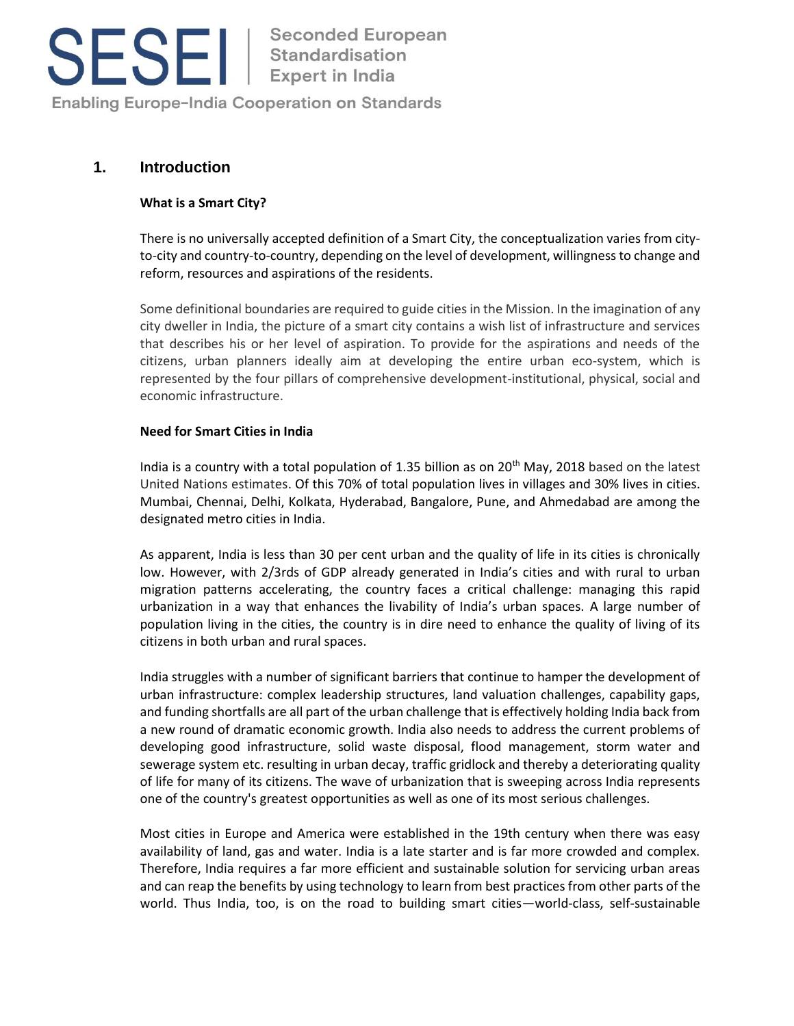#### <span id="page-2-0"></span>**1. Introduction**

#### **What is a Smart City?**

There is no universally accepted definition of a Smart City, the conceptualization varies from cityto-city and country-to-country, depending on the level of development, willingness to change and reform, resources and aspirations of the residents.

Some definitional boundaries are required to guide cities in the Mission. In the imagination of any city dweller in India, the picture of a smart city contains a wish list of infrastructure and services that describes his or her level of aspiration. To provide for the aspirations and needs of the citizens, urban planners ideally aim at developing the entire urban eco-system, which is represented by the four pillars of comprehensive development-institutional, physical, social and economic infrastructure.

#### **Need for Smart Cities in India**

India is a country with a total population of 1.35 billion as on  $20<sup>th</sup>$  May, 2018 based on the latest United Nations estimates. Of this 70% of total population lives in villages and 30% lives in cities. Mumbai, Chennai, Delhi, Kolkata, Hyderabad, Bangalore, Pune, and Ahmedabad are among the designated metro cities in India.

As apparent, India is less than 30 per cent urban and the quality of life in its cities is chronically low. However, with 2/3rds of GDP already generated in India's cities and with rural to urban migration patterns accelerating, the country faces a critical challenge: managing this rapid urbanization in a way that enhances the livability of India's urban spaces. A large number of population living in the cities, the country is in dire need to enhance the quality of living of its citizens in both urban and rural spaces.

India struggles with a number of significant barriers that continue to hamper the development of urban infrastructure: complex leadership structures, land valuation challenges, capability gaps, and funding shortfalls are all part of the urban challenge that is effectively holding India back from a new round of dramatic economic growth. India also needs to address the current problems of developing good infrastructure, solid waste disposal, flood management, storm water and sewerage system etc. resulting in urban decay, traffic gridlock and thereby a deteriorating quality of life for many of its citizens. The wave of urbanization that is sweeping across India represents one of the country's greatest opportunities as well as one of its most serious challenges.

Most cities in Europe and America were established in the 19th century when there was easy availability of land, gas and water. India is a late starter and is far more crowded and complex. Therefore, India requires a far more efficient and sustainable solution for servicing urban areas and can reap the benefits by using technology to learn from best practices from other parts of the world. Thus India, too, is on the road to building smart cities—world-class, self-sustainable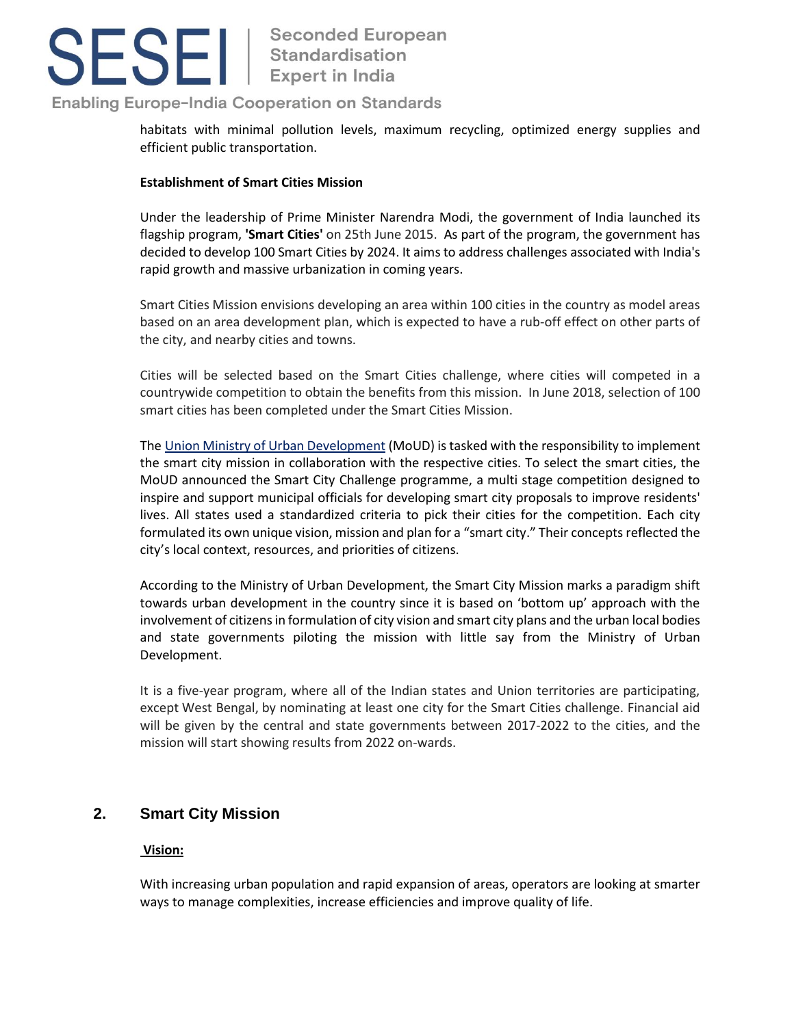## ESEI Seconded European<br>ESEI Standardisation<br>Expert in India **Enabling Europe-India Cooperation on Standards**

habitats with minimal pollution levels, maximum recycling, optimized energy supplies and efficient public transportation.

#### **Establishment of Smart Cities Mission**

Under the leadership of Prime Minister Narendra Modi, the government of India launched its flagship program, **'Smart Cities'** on 25th June 2015. As part of the program, the government has decided to develop 100 Smart Cities by 2024. It aims to address challenges associated with India's rapid growth and massive urbanization in coming years.

Smart Cities Mission envisions developing an area within 100 cities in the country as model areas based on an area development plan, which is expected to have a rub-off effect on other parts of the city, and nearby cities and towns.

Cities will be selected based on the Smart Cities challenge, where cities will competed in a countrywide competition to obtain the benefits from this mission. In June 2018, selection of 100 smart cities has been completed under the Smart Cities Mission.

The [Union Ministry of Urban Development](https://en.wikipedia.org/wiki/Ministry_of_Urban_Development) (MoUD) is tasked with the responsibility to implement the smart city mission in collaboration with the respective cities. To select the smart cities, the MoUD announced the Smart City Challenge programme, a multi stage competition designed to inspire and support municipal officials for developing smart city proposals to improve residents' lives. All states used a standardized criteria to pick their cities for the competition. Each city formulated its own unique vision, mission and plan for a "smart city." Their concepts reflected the city's local context, resources, and priorities of citizens.

According to the Ministry of Urban Development, the Smart City Mission marks a paradigm shift towards urban development in the country since it is based on 'bottom up' approach with the involvement of citizens in formulation of city vision and smart city plans and the urban local bodies and state governments piloting the mission with little say from the Ministry of Urban Development.

It is a five-year program, where all of the Indian states and Union territories are participating, except West Bengal, by nominating at least one city for the Smart Cities challenge. Financial aid will be given by the central and state governments between 2017-2022 to the cities, and the mission will start showing results from 2022 on-wards.

#### <span id="page-3-0"></span>**2. Smart City Mission**

#### **Vision:**

With increasing urban population and rapid expansion of areas, operators are looking at smarter ways to manage complexities, increase efficiencies and improve quality of life.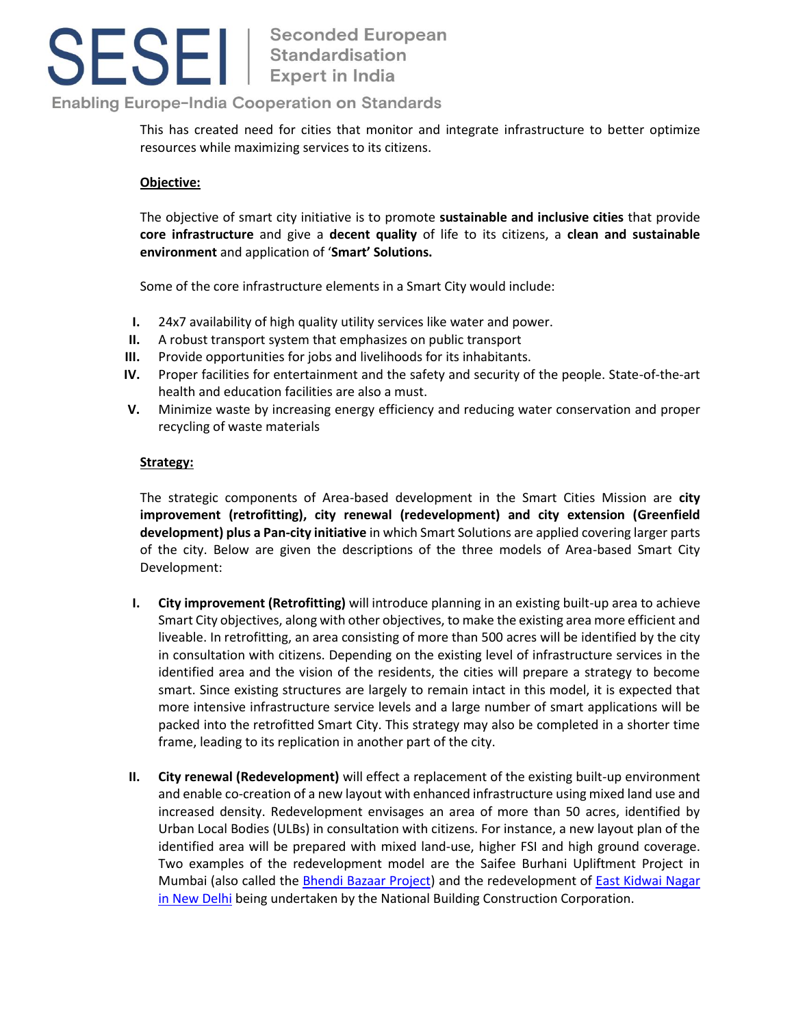## ESEI Seconded European<br>ESEI Standardisation<br>Expert in India **Enabling Europe-India Cooperation on Standards**

This has created need for cities that monitor and integrate infrastructure to better optimize resources while maximizing services to its citizens.

#### **Objective:**

The objective of smart city initiative is to promote **sustainable and inclusive cities** that provide **core infrastructure** and give a **decent quality** of life to its citizens, a **clean and sustainable environment** and application of '**Smart' Solutions.**

Some of the core infrastructure elements in a Smart City would include:

- **I.** 24x7 availability of high quality utility services like water and power.
- **II.** A robust transport system that emphasizes on public transport
- **III.** Provide opportunities for jobs and livelihoods for its inhabitants.
- **IV.** Proper facilities for entertainment and the safety and security of the people. State-of-the-art health and education facilities are also a must.
- **V.** Minimize waste by increasing energy efficiency and reducing water conservation and proper recycling of waste materials

#### **Strategy:**

The strategic components of Area-based development in the Smart Cities Mission are **city improvement (retrofitting), city renewal (redevelopment) and city extension (Greenfield development) plus a Pan-city initiative** in which Smart Solutions are applied covering larger parts of the city. Below are given the descriptions of the three models of Area-based Smart City Development:

- **I. City improvement (Retrofitting)** will introduce planning in an existing built-up area to achieve Smart City objectives, along with other objectives, to make the existing area more efficient and liveable. In retrofitting, an area consisting of more than 500 acres will be identified by the city in consultation with citizens. Depending on the existing level of infrastructure services in the identified area and the vision of the residents, the cities will prepare a strategy to become smart. Since existing structures are largely to remain intact in this model, it is expected that more intensive infrastructure service levels and a large number of smart applications will be packed into the retrofitted Smart City. This strategy may also be completed in a shorter time frame, leading to its replication in another part of the city.
- **II. City renewal (Redevelopment)** will effect a replacement of the existing built-up environment and enable co-creation of a new layout with enhanced infrastructure using mixed land use and increased density. Redevelopment envisages an area of more than 50 acres, identified by Urban Local Bodies (ULBs) in consultation with citizens. For instance, a new layout plan of the identified area will be prepared with mixed land-use, higher FSI and high ground coverage. Two examples of the redevelopment model are the Saifee Burhani Upliftment Project in Mumbai (also called the [Bhendi Bazaar Project\)](http://www.sbut.com/glimpse.html) and the redevelopment of **East Kidwai Nagar** [in New Delhi](http://www.nbccindia.com/nbccindia/nroot/pdfdata/Investor/NBCCPPT.pdf) being undertaken by the National Building Construction Corporation.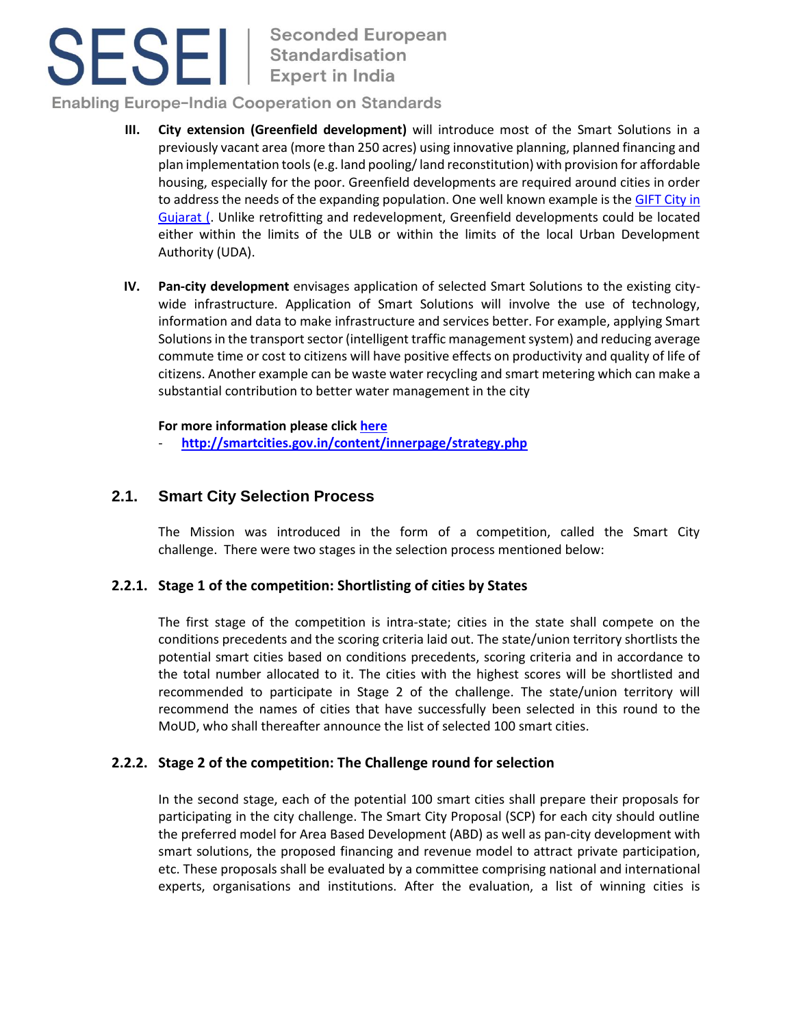# ESE | Seconded European<br>
ESE | Standardisation<br>
Expert in India

#### **Enabling Europe-India Cooperation on Standards**

- **III. City extension (Greenfield development)** will introduce most of the Smart Solutions in a previously vacant area (more than 250 acres) using innovative planning, planned financing and plan implementation tools (e.g. land pooling/ land reconstitution) with provision for affordable housing, especially for the poor. Greenfield developments are required around cities in order to address the needs of the expanding population. One well known example is the [GIFT City in](http://www.giftgujarat.in/)  [Gujarat](http://www.giftgujarat.in/) (. Unlike retrofitting and redevelopment, Greenfield developments could be located either within the limits of the ULB or within the limits of the local Urban Development Authority (UDA).
- **IV. Pan-city development** envisages application of selected Smart Solutions to the existing citywide infrastructure. Application of Smart Solutions will involve the use of technology, information and data to make infrastructure and services better. For example, applying Smart Solutions in the transport sector (intelligent traffic management system) and reducing average commute time or cost to citizens will have positive effects on productivity and quality of life of citizens. Another example can be waste water recycling and smart metering which can make a substantial contribution to better water management in the city

#### **For more information please click [here](http://smartcities.gov.in/content/innerpage/strategy.php)**

- **<http://smartcities.gov.in/content/innerpage/strategy.php>**

#### <span id="page-5-0"></span>**2.1. Smart City Selection Process**

The Mission was introduced in the form of a competition, called the Smart City challenge. There were two stages in the selection process mentioned below:

#### **2.2.1. Stage 1 of the competition: Shortlisting of cities by States**

<span id="page-5-1"></span>The first stage of the competition is intra-state; cities in the state shall compete on the conditions precedents and the scoring criteria laid out. The state/union territory shortlists the potential smart cities based on conditions precedents, scoring criteria and in accordance to the total number allocated to it. The cities with the highest scores will be shortlisted and recommended to participate in Stage 2 of the challenge. The state/union territory will recommend the names of cities that have successfully been selected in this round to the MoUD, who shall thereafter announce the list of selected 100 smart cities.

#### **2.2.2. Stage 2 of the competition: The Challenge round for selection**

<span id="page-5-2"></span>In the second stage, each of the potential 100 smart cities shall prepare their proposals for participating in the city challenge. The Smart City Proposal (SCP) for each city should outline the preferred model for Area Based Development (ABD) as well as pan-city development with smart solutions, the proposed financing and revenue model to attract private participation, etc. These proposals shall be evaluated by a committee comprising national and international experts, organisations and institutions. After the evaluation, a list of winning cities is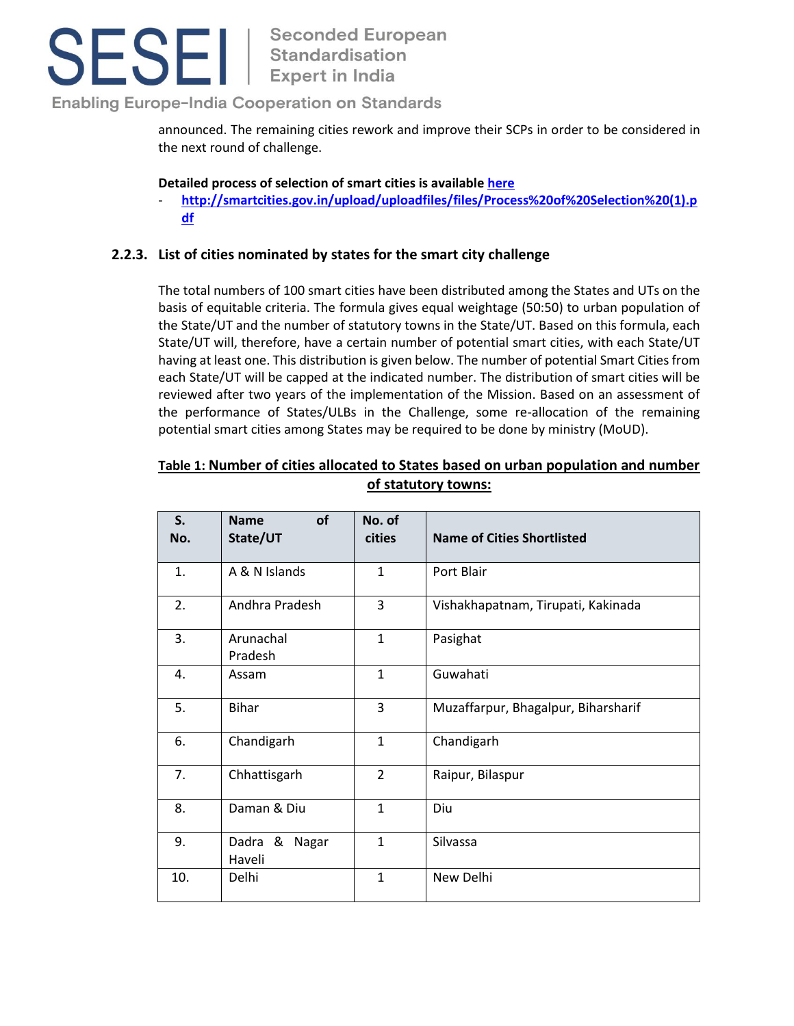## SESE | Seconded European **Enabling Europe-India Cooperation on Standards**

announced. The remaining cities rework and improve their SCPs in order to be considered in the next round of challenge.

#### **Detailed process of selection of smart cities is available [here](http://smartcities.gov.in/upload/uploadfiles/files/Process%20of%20Selection%20(1).pdf)**

- **http://smartcities.gov.in/upload/uploadfiles/files/Process%20of%20Selection%20(1).p df**

#### <span id="page-6-0"></span>**2.2.3. List of cities nominated by states for the smart city challenge**

The total numbers of 100 smart cities have been distributed among the States and UTs on the basis of equitable criteria. The formula gives equal weightage (50:50) to urban population of the State/UT and the number of statutory towns in the State/UT. Based on this formula, each State/UT will, therefore, have a certain number of potential smart cities, with each State/UT having at least one. This distribution is given below. The number of potential Smart Cities from each State/UT will be capped at the indicated number. The distribution of smart cities will be reviewed after two years of the implementation of the Mission. Based on an assessment of the performance of States/ULBs in the Challenge, some re-allocation of the remaining potential smart cities among States may be required to be done by ministry (MoUD).

#### **Table 1: [Number of cities allocated to States based on urban population and number](http://smartcities.gov.in/upload/uploadfiles/files/No_%20of%20Smart%20Cities%20in%20each%20State.pdf)  [of statutory towns:](http://smartcities.gov.in/upload/uploadfiles/files/No_%20of%20Smart%20Cities%20in%20each%20State.pdf)**

| S.<br>No. | of<br><b>Name</b><br>State/UT | No. of<br>cities | <b>Name of Cities Shortlisted</b>   |
|-----------|-------------------------------|------------------|-------------------------------------|
| 1.        | A & N Islands                 | $\mathbf{1}$     | Port Blair                          |
| 2.        | Andhra Pradesh                | 3                | Vishakhapatnam, Tirupati, Kakinada  |
| 3.        | Arunachal<br>Pradesh          | $\mathbf{1}$     | Pasighat                            |
| 4.        | Assam                         | $\mathbf{1}$     | Guwahati                            |
| 5.        | <b>Bihar</b>                  | 3                | Muzaffarpur, Bhagalpur, Biharsharif |
| 6.        | Chandigarh                    | $\mathbf{1}$     | Chandigarh                          |
| 7.        | Chhattisgarh                  | $\overline{2}$   | Raipur, Bilaspur                    |
| 8.        | Daman & Diu                   | $\mathbf{1}$     | Diu                                 |
| 9.        | Dadra & Nagar<br>Haveli       | $\mathbf{1}$     | Silvassa                            |
| 10.       | Delhi                         | $\mathbf{1}$     | New Delhi                           |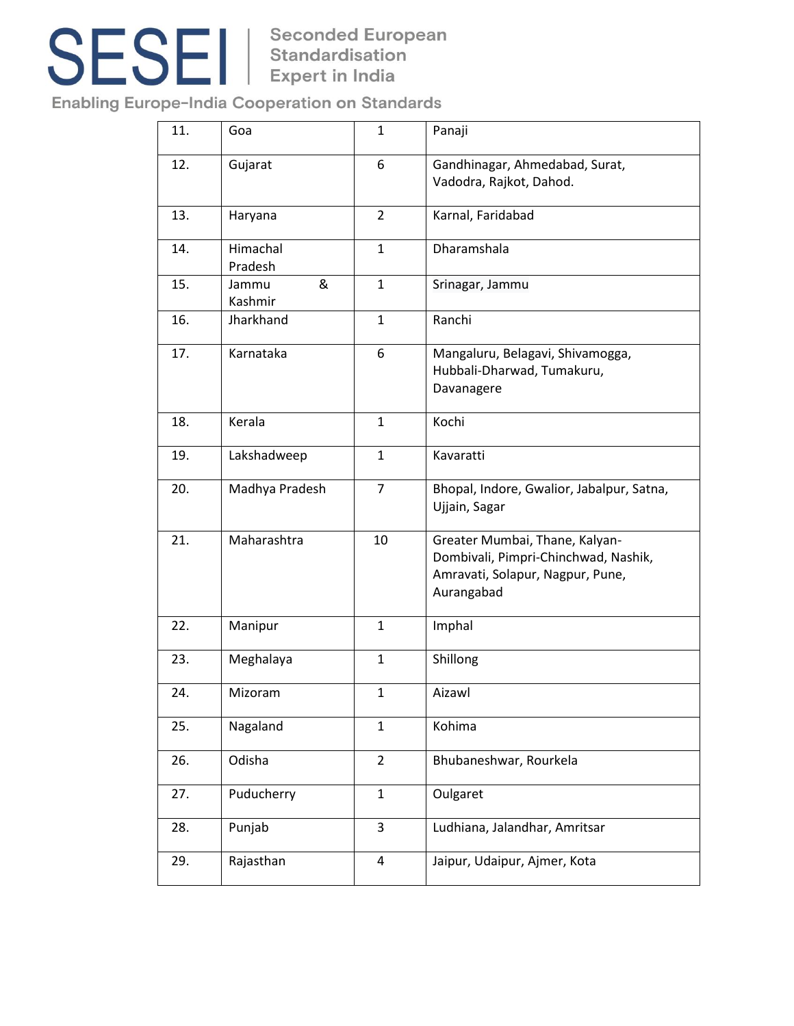| 11. | Goa                   | 1              | Panaji                                                                                                                   |
|-----|-----------------------|----------------|--------------------------------------------------------------------------------------------------------------------------|
| 12. | Gujarat               | 6              | Gandhinagar, Ahmedabad, Surat,<br>Vadodra, Rajkot, Dahod.                                                                |
| 13. | Haryana               | $\overline{2}$ | Karnal, Faridabad                                                                                                        |
| 14. | Himachal<br>Pradesh   | $\mathbf{1}$   | Dharamshala                                                                                                              |
| 15. | &<br>Jammu<br>Kashmir | 1              | Srinagar, Jammu                                                                                                          |
| 16. | Jharkhand             | $\mathbf{1}$   | Ranchi                                                                                                                   |
| 17. | Karnataka             | 6              | Mangaluru, Belagavi, Shivamogga,<br>Hubbali-Dharwad, Tumakuru,<br>Davanagere                                             |
| 18. | Kerala                | $\mathbf{1}$   | Kochi                                                                                                                    |
| 19. | Lakshadweep           | $\mathbf{1}$   | Kavaratti                                                                                                                |
| 20. | Madhya Pradesh        | $\overline{7}$ | Bhopal, Indore, Gwalior, Jabalpur, Satna,<br>Ujjain, Sagar                                                               |
| 21. | Maharashtra           | 10             | Greater Mumbai, Thane, Kalyan-<br>Dombivali, Pimpri-Chinchwad, Nashik,<br>Amravati, Solapur, Nagpur, Pune,<br>Aurangabad |
| 22. | Manipur               | $\mathbf{1}$   | Imphal                                                                                                                   |
| 23. | Meghalaya             | 1              | Shillong                                                                                                                 |
| 24. | Mizoram               | $\mathbf{1}$   | Aizawl                                                                                                                   |
| 25. | Nagaland              | $\mathbf{1}$   | Kohima                                                                                                                   |
| 26. | Odisha                | $\overline{2}$ | Bhubaneshwar, Rourkela                                                                                                   |
| 27. | Puducherry            | $\mathbf{1}$   | Oulgaret                                                                                                                 |
| 28. | Punjab                | 3              | Ludhiana, Jalandhar, Amritsar                                                                                            |
| 29. | Rajasthan             | 4              | Jaipur, Udaipur, Ajmer, Kota                                                                                             |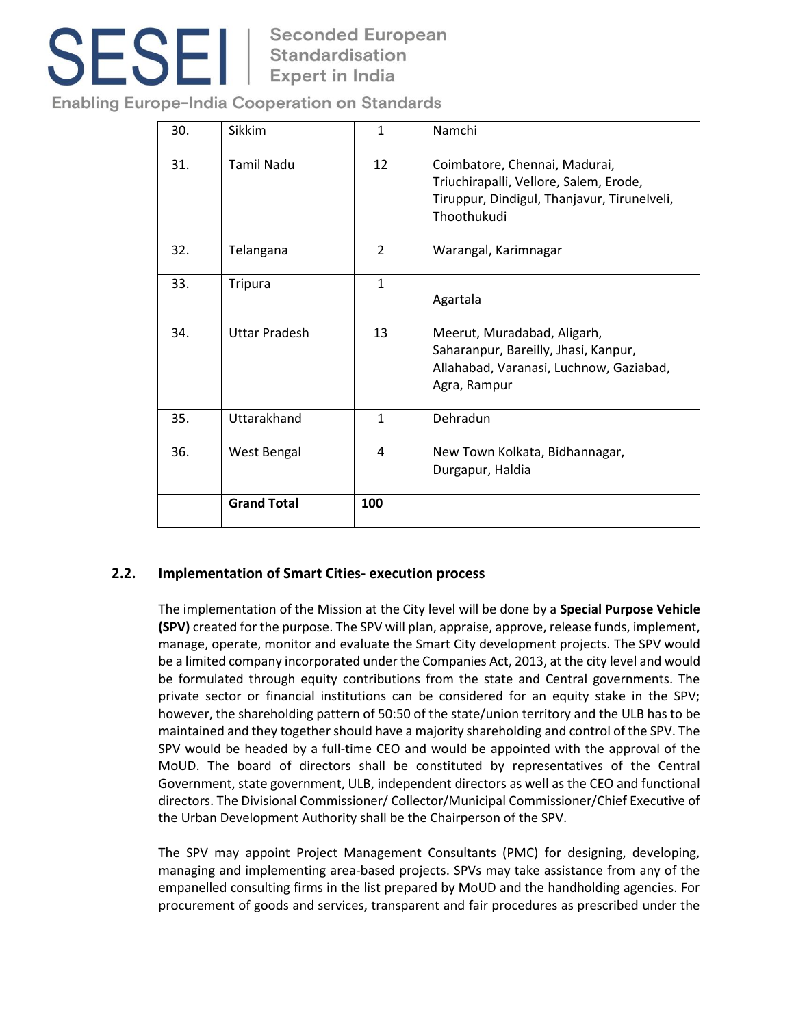# **ESE** Seconded Europ

**Seconded European** 

**Enabling Europe-India Cooperation on Standards** 

| 30. | Sikkim             | 1              | Namchi                                                                                                                                |
|-----|--------------------|----------------|---------------------------------------------------------------------------------------------------------------------------------------|
| 31. | <b>Tamil Nadu</b>  | 12             | Coimbatore, Chennai, Madurai,<br>Triuchirapalli, Vellore, Salem, Erode,<br>Tiruppur, Dindigul, Thanjavur, Tirunelveli,<br>Thoothukudi |
| 32. | Telangana          | $\overline{2}$ | Warangal, Karimnagar                                                                                                                  |
| 33. | <b>Tripura</b>     | $\mathbf{1}$   | Agartala                                                                                                                              |
| 34. | Uttar Pradesh      | 13             | Meerut, Muradabad, Aligarh,<br>Saharanpur, Bareilly, Jhasi, Kanpur,<br>Allahabad, Varanasi, Luchnow, Gaziabad,<br>Agra, Rampur        |
| 35. | Uttarakhand        | 1              | Dehradun                                                                                                                              |
| 36. | <b>West Bengal</b> | 4              | New Town Kolkata, Bidhannagar,<br>Durgapur, Haldia                                                                                    |
|     | <b>Grand Total</b> | 100            |                                                                                                                                       |

#### <span id="page-8-0"></span>**2.2. Implementation of Smart Cities- execution process**

The implementation of the Mission at the City level will be done by a **Special Purpose Vehicle (SPV)** created for the purpose. The SPV will plan, appraise, approve, release funds, implement, manage, operate, monitor and evaluate the Smart City development projects. The SPV would be a limited company incorporated under the Companies Act, 2013, at the city level and would be formulated through equity contributions from the state and Central governments. The private sector or financial institutions can be considered for an equity stake in the SPV; however, the shareholding pattern of 50:50 of the state/union territory and the ULB has to be maintained and they together should have a majority shareholding and control of the SPV. The SPV would be headed by a full-time CEO and would be appointed with the approval of the MoUD. The board of directors shall be constituted by representatives of the Central Government, state government, ULB, independent directors as well as the CEO and functional directors. The Divisional Commissioner/ Collector/Municipal Commissioner/Chief Executive of the Urban Development Authority shall be the Chairperson of the SPV.

The SPV may appoint Project Management Consultants (PMC) for designing, developing, managing and implementing area-based projects. SPVs may take assistance from any of the empanelled consulting firms in the list prepared by MoUD and the handholding agencies. For procurement of goods and services, transparent and fair procedures as prescribed under the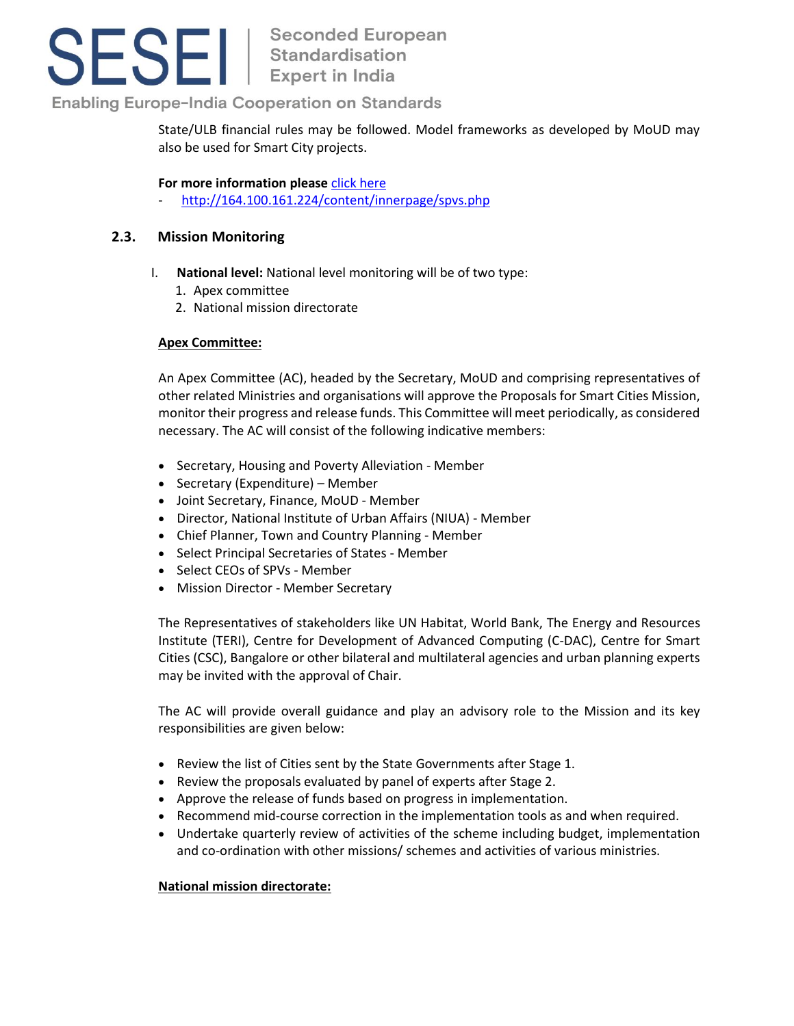# SES EL Seconded European

#### **Enabling Europe-India Cooperation on Standards**

State/ULB financial rules may be followed. Model frameworks as developed by MoUD may also be used for Smart City projects.

#### **For more information please [click here](http://164.100.161.224/content/innerpage/spvs.php)**

<span id="page-9-0"></span><http://164.100.161.224/content/innerpage/spvs.php>

#### **2.3. Mission Monitoring**

- I. **National level:** National level monitoring will be of two type:
	- 1. Apex committee
	- 2. National mission directorate

#### **Apex Committee:**

An Apex Committee (AC), headed by the Secretary, MoUD and comprising representatives of other related Ministries and organisations will approve the Proposals for Smart Cities Mission, monitor their progress and release funds. This Committee will meet periodically, as considered necessary. The AC will consist of the following indicative members:

- Secretary, Housing and Poverty Alleviation Member
- Secretary (Expenditure) Member
- Joint Secretary, Finance, MoUD Member
- Director, National Institute of Urban Affairs (NIUA) Member
- Chief Planner, Town and Country Planning Member
- Select Principal Secretaries of States Member
- Select CEOs of SPVs Member
- Mission Director Member Secretary

The Representatives of stakeholders like UN Habitat, World Bank, The Energy and Resources Institute (TERI), Centre for Development of Advanced Computing (C-DAC), Centre for Smart Cities (CSC), Bangalore or other bilateral and multilateral agencies and urban planning experts may be invited with the approval of Chair.

The AC will provide overall guidance and play an advisory role to the Mission and its key responsibilities are given below:

- Review the list of Cities sent by the State Governments after Stage 1.
- Review the proposals evaluated by panel of experts after Stage 2.
- Approve the release of funds based on progress in implementation.
- Recommend mid-course correction in the implementation tools as and when required.
- Undertake quarterly review of activities of the scheme including budget, implementation and co-ordination with other missions/ schemes and activities of various ministries.

#### **National mission directorate:**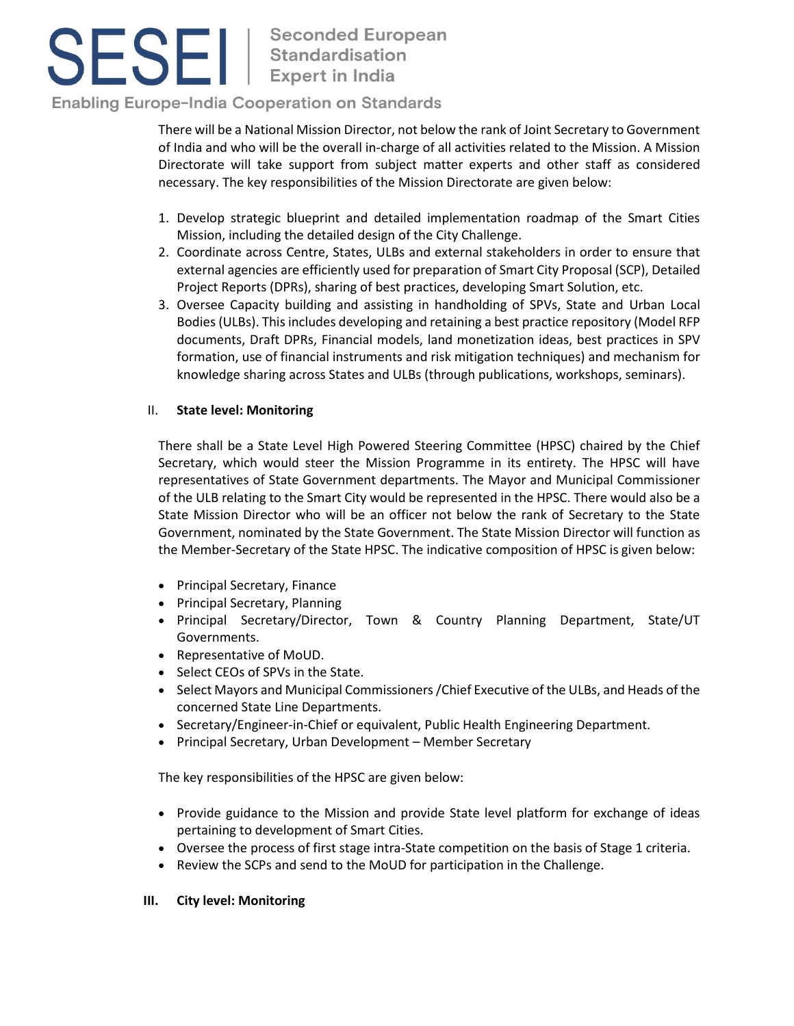### SE Seconded Europ **Seconded European Enabling Europe-India Cooperation on Standards**

There will be a National Mission Director, not below the rank of Joint Secretary to Government of India and who will be the overall in-charge of all activities related to the Mission. A Mission Directorate will take support from subject matter experts and other staff as considered necessary. The key responsibilities of the Mission Directorate are given below:

- 1. Develop strategic blueprint and detailed implementation roadmap of the Smart Cities Mission, including the detailed design of the City Challenge.
- 2. Coordinate across Centre, States, ULBs and external stakeholders in order to ensure that external agencies are efficiently used for preparation of Smart City Proposal (SCP), Detailed Project Reports (DPRs), sharing of best practices, developing Smart Solution, etc.
- 3. Oversee Capacity building and assisting in handholding of SPVs, State and Urban Local Bodies (ULBs). This includes developing and retaining a best practice repository (Model RFP documents, Draft DPRs, Financial models, land monetization ideas, best practices in SPV formation, use of financial instruments and risk mitigation techniques) and mechanism for knowledge sharing across States and ULBs (through publications, workshops, seminars).

#### II. **State level: Monitoring**

There shall be a State Level High Powered Steering Committee (HPSC) chaired by the Chief Secretary, which would steer the Mission Programme in its entirety. The HPSC will have representatives of State Government departments. The Mayor and Municipal Commissioner of the ULB relating to the Smart City would be represented in the HPSC. There would also be a State Mission Director who will be an officer not below the rank of Secretary to the State Government, nominated by the State Government. The State Mission Director will function as the Member-Secretary of the State HPSC. The indicative composition of HPSC is given below:

- Principal Secretary, Finance
- Principal Secretary, Planning
- Principal Secretary/Director, Town & Country Planning Department, State/UT Governments.
- Representative of MoUD.
- Select CEOs of SPVs in the State.
- Select Mayors and Municipal Commissioners / Chief Executive of the ULBs, and Heads of the concerned State Line Departments.
- Secretary/Engineer-in-Chief or equivalent, Public Health Engineering Department.
- Principal Secretary, Urban Development Member Secretary

The key responsibilities of the HPSC are given below:

- Provide guidance to the Mission and provide State level platform for exchange of ideas pertaining to development of Smart Cities.
- Oversee the process of first stage intra-State competition on the basis of Stage 1 criteria.
- Review the SCPs and send to the MoUD for participation in the Challenge.

#### **III. City level: Monitoring**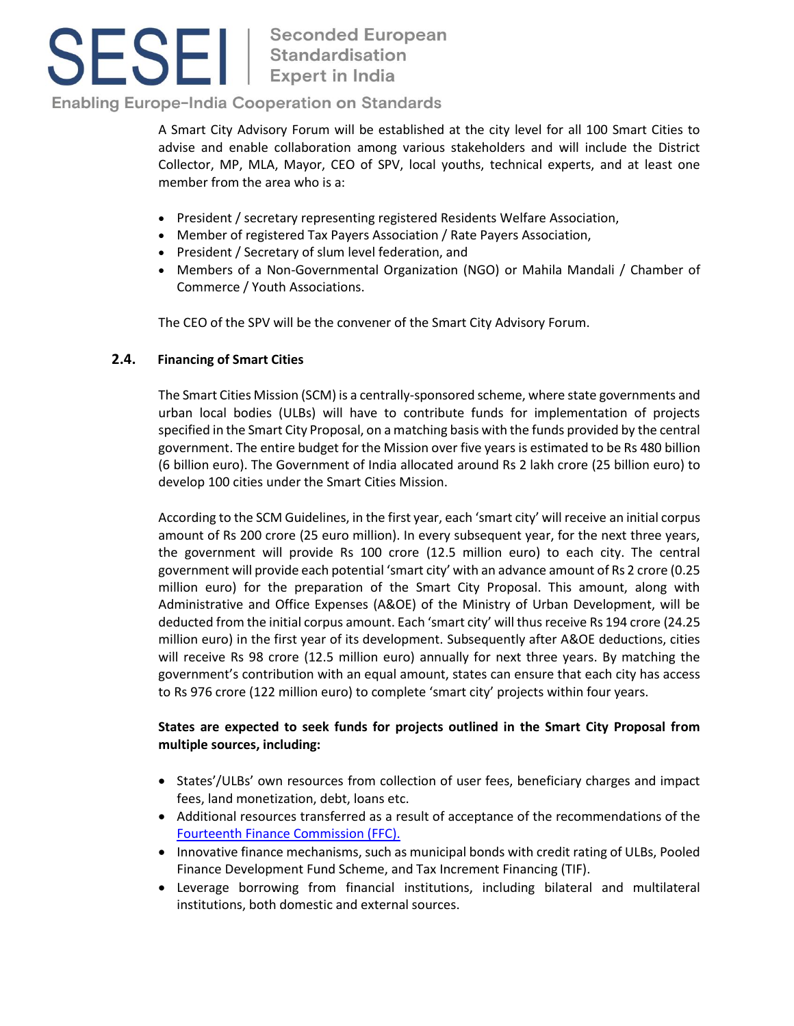## **ESEI** Seconded European<br>ESEI Standardisation<br>Expert in India **Enabling Europe-India Cooperation on Standards**

A Smart City Advisory Forum will be established at the city level for all 100 Smart Cities to advise and enable collaboration among various stakeholders and will include the District Collector, MP, MLA, Mayor, CEO of SPV, local youths, technical experts, and at least one member from the area who is a:

- President / secretary representing registered Residents Welfare Association,
- Member of registered Tax Payers Association / Rate Payers Association,
- President / Secretary of slum level federation, and
- Members of a Non-Governmental Organization (NGO) or Mahila Mandali / Chamber of Commerce / Youth Associations.

The CEO of the SPV will be the convener of the Smart City Advisory Forum.

#### <span id="page-11-0"></span>**2.4. Financing of Smart Cities**

The Smart Cities Mission (SCM) is a centrally-sponsored scheme, where state governments and urban local bodies (ULBs) will have to contribute funds for implementation of projects specified in the Smart City Proposal, on a matching basis with the funds provided by the central government. The entire budget for the Mission over five years is estimated to be Rs 480 billion (6 billion euro). The Government of India allocated around Rs 2 lakh crore (25 billion euro) to develop 100 cities under the Smart Cities Mission.

According to the SCM Guidelines, in the first year, each 'smart city' will receive an initial corpus amount of Rs 200 crore (25 euro million). In every subsequent year, for the next three years, the government will provide Rs 100 crore (12.5 million euro) to each city. The central government will provide each potential 'smart city' with an advance amount of Rs 2 crore (0.25 million euro) for the preparation of the Smart City Proposal. This amount, along with Administrative and Office Expenses (A&OE) of the Ministry of Urban Development, will be deducted from the initial corpus amount. Each 'smart city' will thus receive Rs 194 crore (24.25 million euro) in the first year of its development. Subsequently after A&OE deductions, cities will receive Rs 98 crore (12.5 million euro) annually for next three years. By matching the government's contribution with an equal amount, states can ensure that each city has access to Rs 976 crore (122 million euro) to complete 'smart city' projects within four years.

#### **States are expected to seek funds for projects outlined in the Smart City Proposal from multiple sources, including:**

- States'/ULBs' own resources from collection of user fees, beneficiary charges and impact fees, land monetization, debt, loans etc.
- Additional resources transferred as a result of acceptance of the recommendations of the [Fourteenth Finance Commission \(FFC\).](http://planningonline.gov.in/doucuments/Guidelines.pdf)
- Innovative finance mechanisms, such as municipal bonds with credit rating of ULBs, Pooled Finance Development Fund Scheme, and Tax Increment Financing (TIF).
- Leverage borrowing from financial institutions, including bilateral and multilateral institutions, both domestic and external sources.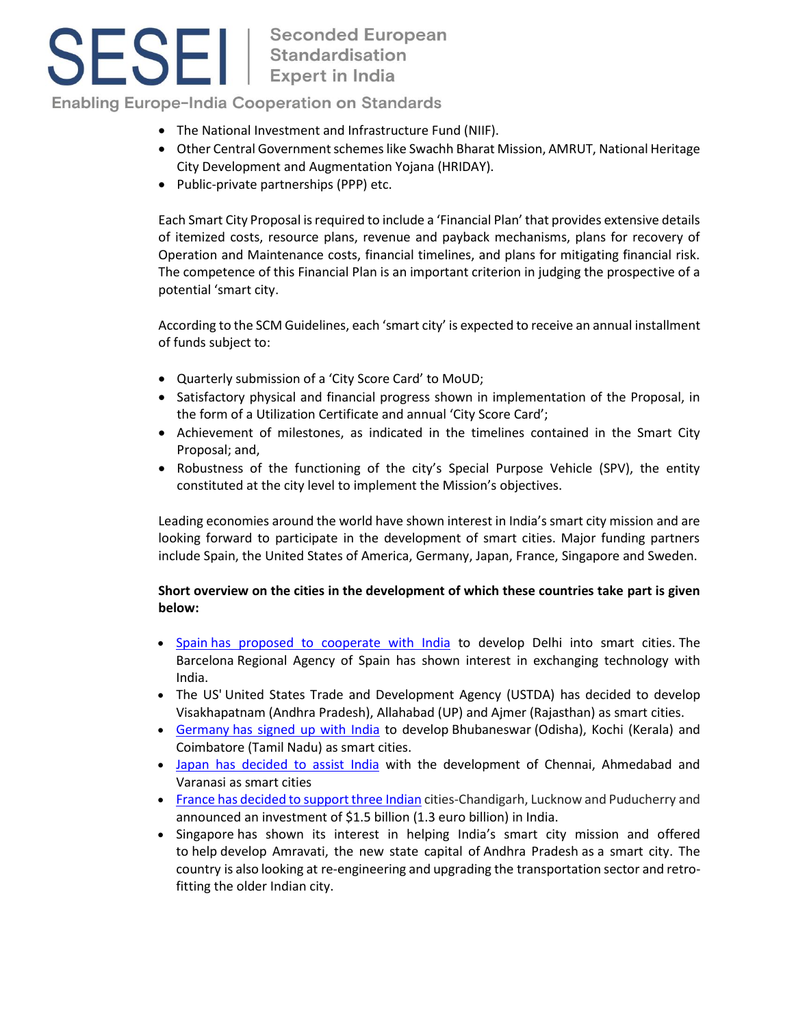### **SEI** Seconded Europ<br>
Standardisation<br>
Expert in India **Seconded European Enabling Europe-India Cooperation on Standards**

- The National Investment and Infrastructure Fund (NIIF).
- Other Central Government schemes like Swachh Bharat Mission, AMRUT, National Heritage City Development and Augmentation Yojana (HRIDAY).
- Public-private partnerships (PPP) etc.

Each Smart City Proposal is required to include a 'Financial Plan' that provides extensive details of itemized costs, resource plans, revenue and payback mechanisms, plans for recovery of Operation and Maintenance costs, financial timelines, and plans for mitigating financial risk. The competence of this Financial Plan is an important criterion in judging the prospective of a potential 'smart city.

According to the SCM Guidelines, each 'smart city' is expected to receive an annual installment of funds subject to:

- Quarterly submission of a 'City Score Card' to MoUD;
- Satisfactory physical and financial progress shown in implementation of the Proposal, in the form of a Utilization Certificate and annual 'City Score Card';
- Achievement of milestones, as indicated in the timelines contained in the Smart City Proposal; and,
- Robustness of the functioning of the city's Special Purpose Vehicle (SPV), the entity constituted at the city level to implement the Mission's objectives.

Leading economies around the world have shown interest in India's smart city mission and are looking forward to participate in the development of smart cities. Major funding partners include Spain, the United States of America, Germany, Japan, France, Singapore and Sweden.

#### **Short overview on the cities in the development of which these countries take part is given below:**

- Spain [has proposed to cooperate with India](http://www.rediff.com/business/report/spain-proposes-to-develop-delhi-as-smart-city/20150427.htm) to develop Delhi into smart cities. The Barcelona Regional Agency of Spain has shown interest in exchanging technology with India.
- The US' United States Trade and Development Agency (USTDA) has decided to develop Visakhapatnam (Andhra Pradesh), Allahabad (UP) and Ajmer (Rajasthan) as smart cities.
- Germany [has signed up with India](http://www.governancetoday.co.in/germany-develop-kochi-coimbatore-bhubaneswar-smart-cities/) to develop Bhubaneswar (Odisha), Kochi (Kerala) and Coimbatore (Tamil Nadu) as smart cities.
- [Japan has decided to assist India](https://www.deccanchronicle.com/business/in-other-news/050117/japan-to-assist-india-with-development-of-three-smart-cities.html) with the development of Chennai, Ahmedabad and Varanasi as smart cities
- [France has decided to support three Indian](http://smartcity.eletsonline.com/france-to-invest-1-5-billion-in-smart-cities-mission/) cities-Chandigarh, Lucknow and Puducherry and announced an investment of \$1.5 billion (1.3 euro billion) in India.
- Singapore has shown its interest in helping India's smart city mission and offered to help develop Amravati, the new state capital of Andhra Pradesh as a smart city. The country is also looking at re-engineering and upgrading the transportation sector and retrofitting the older Indian city.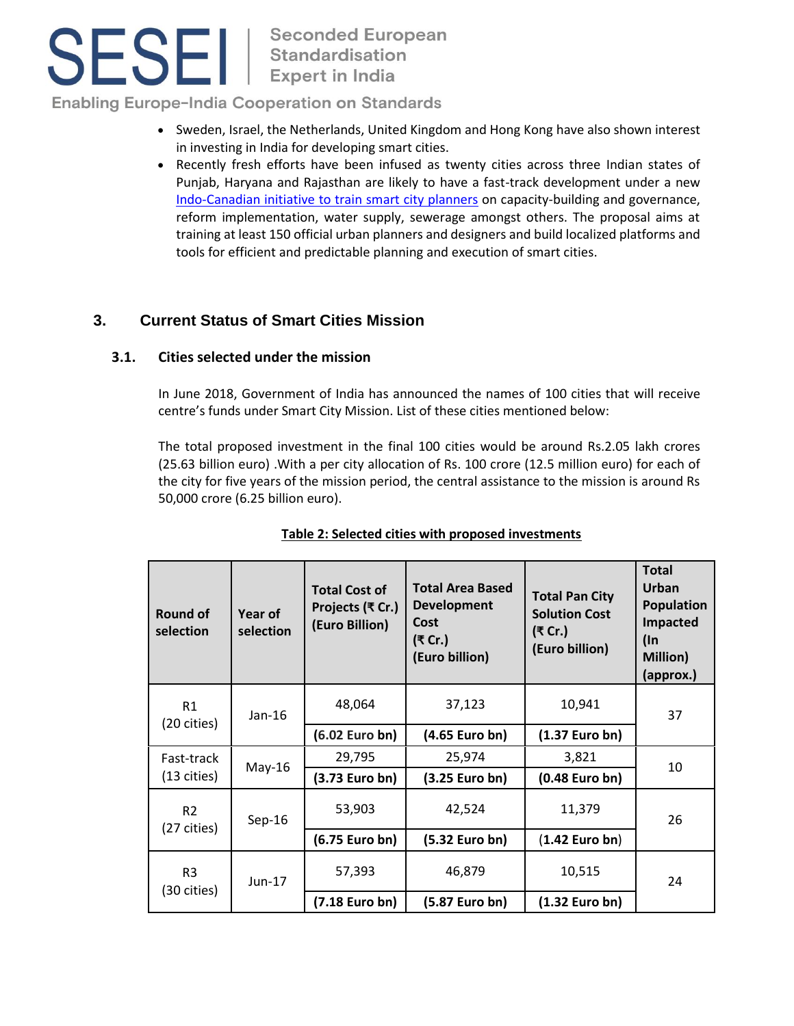## **SESPERSE SECONDER SECONDER STANDARD Standardisation**<br>Expert in India

#### **Enabling Europe-India Cooperation on Standards**

- Sweden, Israel, the Netherlands, United Kingdom and Hong Kong have also shown interest in investing in India for developing smart cities.
- Recently fresh efforts have been infused as twenty cities across three Indian states of Punjab, Haryana and Rajasthan are likely to have a fast-track development under a new [Indo-Canadian initiative to train smart city planners](http://niryatbandhu.iift.ac.in/news/NEWS/912018_Canada-India%20initiative%20for%20training%20of%20smart%20city%20planners.pdf) on capacity-building and governance, reform implementation, water supply, sewerage amongst others. The proposal aims at training at least 150 official urban planners and designers and build localized platforms and tools for efficient and predictable planning and execution of smart cities.

#### <span id="page-13-0"></span>**3. Current Status of Smart Cities Mission**

#### **3.1. Cities selected under the mission**

<span id="page-13-1"></span>In June 2018, Government of India has announced the names of 100 cities that will receive centre's funds under Smart City Mission. List of these cities mentioned below:

The total proposed investment in the final 100 cities would be around Rs.2.05 lakh crores (25.63 billion euro) .With a per city allocation of Rs. 100 crore (12.5 million euro) for each of the city for five years of the mission period, the central assistance to the mission is around Rs 50,000 crore (6.25 billion euro).

| <b>Round of</b><br>selection            | Year of<br>selection | <b>Total Cost of</b><br>Projects (₹ Cr.)<br>(Euro Billion) | <b>Total Area Based</b><br><b>Development</b><br>Cost<br>(₹ Cr.)<br>(Euro billion) | <b>Total Pan City</b><br><b>Solution Cost</b><br>(₹ Cr.)<br>(Euro billion) | <b>Total</b><br>Urban<br><b>Population</b><br>Impacted<br>$(\ln$<br>Million)<br>(approx.) |
|-----------------------------------------|----------------------|------------------------------------------------------------|------------------------------------------------------------------------------------|----------------------------------------------------------------------------|-------------------------------------------------------------------------------------------|
| R1<br>(20 cities)                       | $Jan-16$             | 48,064                                                     | 37,123                                                                             | 10,941                                                                     | 37                                                                                        |
|                                         |                      | $(6.02$ Euro bn)                                           | (4.65 Euro bn)                                                                     | $(1.37$ Euro bn)                                                           |                                                                                           |
| Fast-track                              | $May-16$             | 29,795                                                     | 25,974                                                                             | 3,821                                                                      |                                                                                           |
| $(13 \text{ cities})$                   |                      | $(3.73)$ Euro bn)                                          | $(3.25$ Euro bn)                                                                   | $(0.48$ Euro bn)                                                           | 10                                                                                        |
| R <sub>2</sub><br>$(27 \text{ cities})$ | $Sep-16$             | 53,903                                                     | 42,524                                                                             | 11,379                                                                     | 26                                                                                        |
|                                         |                      | (6.75 Euro bn)                                             | (5.32 Euro bn)                                                                     | $(1.42$ Euro bn)                                                           |                                                                                           |
| R <sub>3</sub>                          | $Jun-17$             | 57,393                                                     | 46,879                                                                             | 10,515                                                                     | 24                                                                                        |
| (30 cities)                             |                      | (7.18 Euro bn)                                             | (5.87 Euro bn)                                                                     | $(1.32$ Euro bn)                                                           |                                                                                           |

#### **Table 2: Selected cities with proposed investments**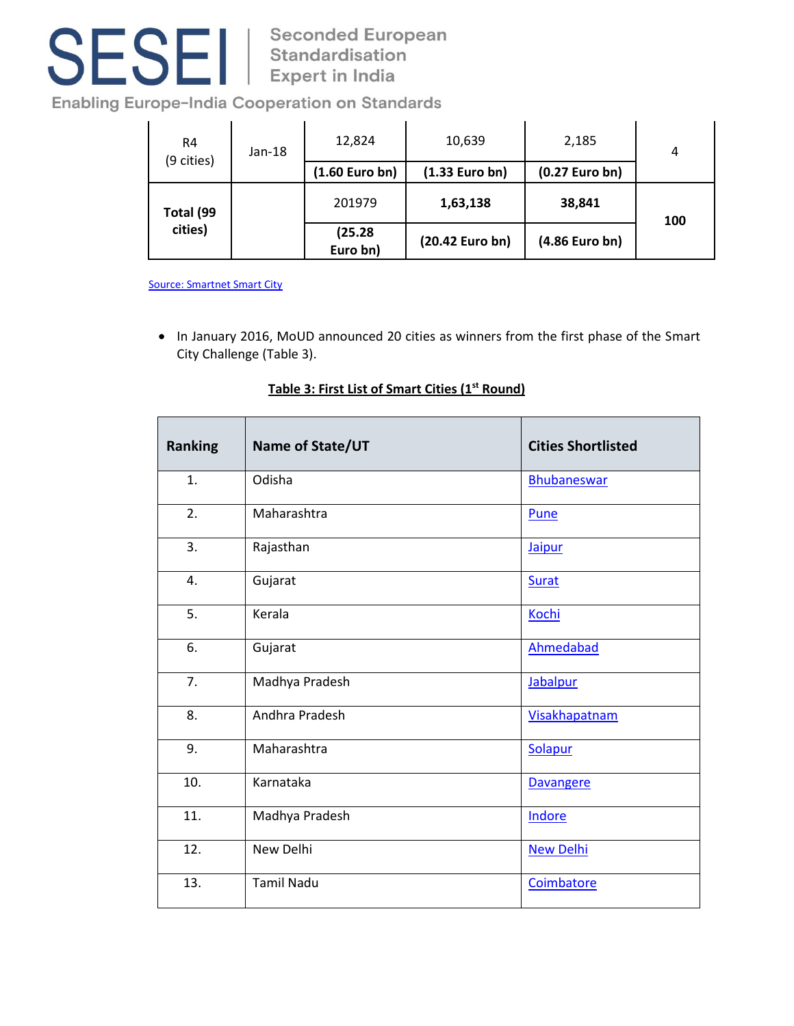**Enabling Europe-India Cooperation on Standards** 

| R4<br>(9 cities) | $Jan-18$ | 12,824              | 10,639            | 2,185            | 4   |
|------------------|----------|---------------------|-------------------|------------------|-----|
|                  |          | $(1.60$ Euro bn)    | $(1.33)$ Euro bn) | $(0.27$ Euro bn) |     |
| Total (99        |          | 201979              | 1,63,138          | 38,841           | 100 |
| cities)          |          | (25.28)<br>Euro bn) | (20.42 Euro bn)   | (4.86 Euro bn)   |     |

[Source: Smartnet Smart City](https://smartnet.niua.org/smart-cities-network)

• In January 2016, MoUD announced 20 cities as winners from the first phase of the Smart City Challenge (Table 3).

| Table 3: First List of Smart Cities (1 <sup>st</sup> Round) |
|-------------------------------------------------------------|
|-------------------------------------------------------------|

| Ranking        | Name of State/UT  | <b>Cities Shortlisted</b> |
|----------------|-------------------|---------------------------|
| $\mathbf{1}$ . | Odisha            | Bhubaneswar               |
| 2.             | Maharashtra       | Pune                      |
| 3.             | Rajasthan         | <b>Jaipur</b>             |
| 4.             | Gujarat           | Surat                     |
| 5.             | Kerala            | Kochi                     |
| 6.             | Gujarat           | Ahmedabad                 |
| 7.             | Madhya Pradesh    | Jabalpur                  |
| 8.             | Andhra Pradesh    | <b>Visakhapatnam</b>      |
| 9.             | Maharashtra       | Solapur                   |
| 10.            | Karnataka         | <b>Davangere</b>          |
| 11.            | Madhya Pradesh    | <b>Indore</b>             |
| 12.            | New Delhi         | <b>New Delhi</b>          |
| 13.            | <b>Tamil Nadu</b> | Coimbatore                |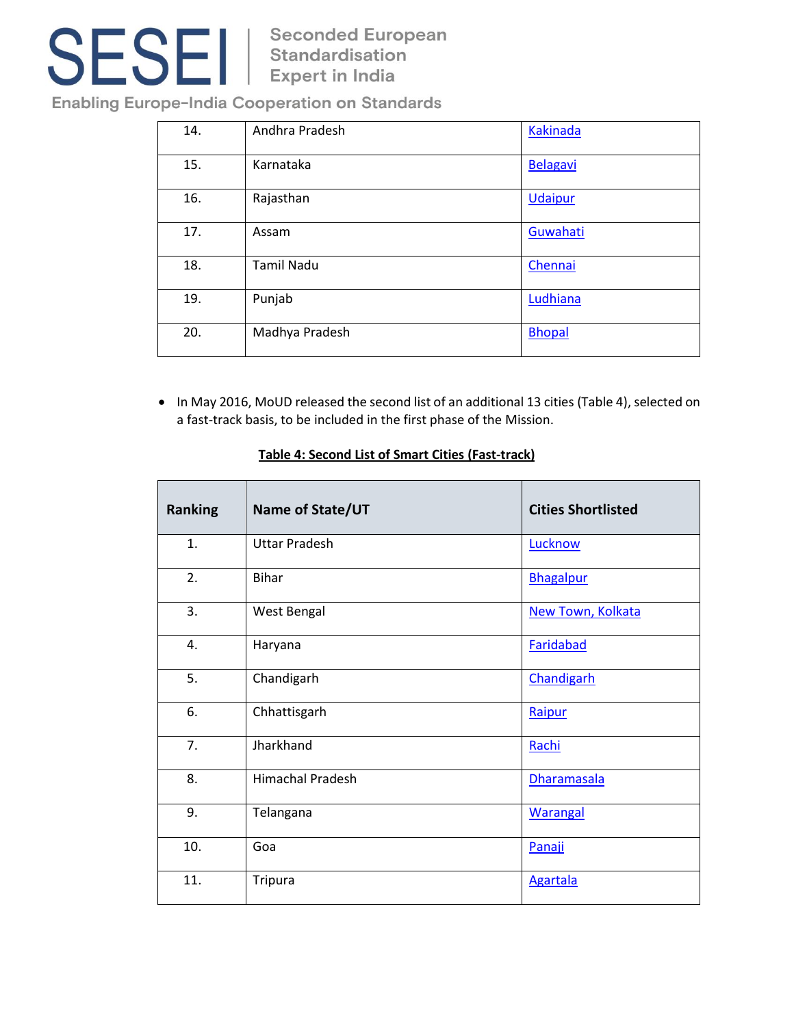**Enabling Europe-India Cooperation on Standards** 

| 14. | Andhra Pradesh    | <b>Kakinada</b> |
|-----|-------------------|-----------------|
| 15. | Karnataka         | Belagavi        |
| 16. | Rajasthan         | <b>Udaipur</b>  |
| 17. | Assam             | Guwahati        |
| 18. | <b>Tamil Nadu</b> | Chennai         |
| 19. | Punjab            | Ludhiana        |
| 20. | Madhya Pradesh    | <b>Bhopal</b>   |

 In May 2016, MoUD released the second list of an additional 13 cities (Table 4), selected on a fast-track basis, to be included in the first phase of the Mission.

| <b>Ranking</b> | Name of State/UT        | <b>Cities Shortlisted</b> |
|----------------|-------------------------|---------------------------|
| 1.             | <b>Uttar Pradesh</b>    | Lucknow                   |
| 2.             | <b>Bihar</b>            | Bhagalpur                 |
| 3.             | West Bengal             | New Town, Kolkata         |
| 4.             | Haryana                 | <b>Faridabad</b>          |
| 5.             | Chandigarh              | Chandigarh                |
| 6.             | Chhattisgarh            | Raipur                    |
| 7.             | Jharkhand               | Rachi                     |
| 8.             | <b>Himachal Pradesh</b> | <b>Dharamasala</b>        |
| 9.             | Telangana               | <b>Warangal</b>           |
| 10.            | Goa                     | Panaji                    |
| 11.            | <b>Tripura</b>          | <b>Agartala</b>           |

#### **Table 4: Second List of Smart Cities (Fast-track)**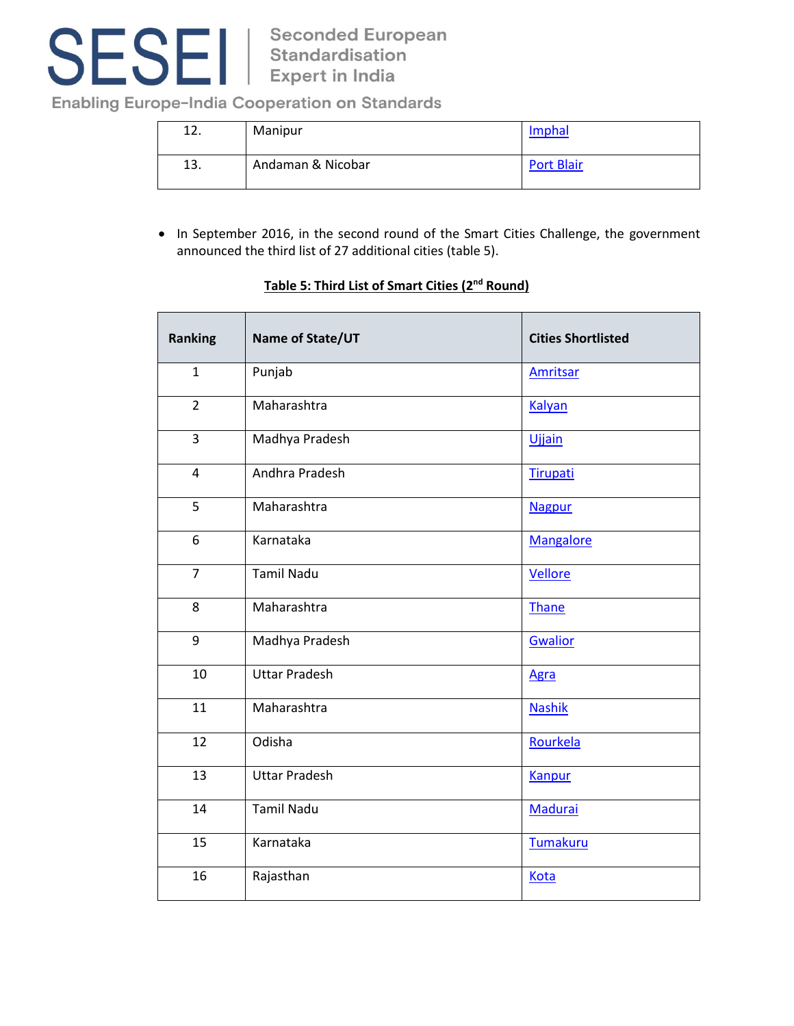#### **Enabling Europe-India Cooperation on Standards**

| 12. | Manipur           | <b>Imphal</b>     |
|-----|-------------------|-------------------|
| 13. | Andaman & Nicobar | <b>Port Blair</b> |

• In September 2016, in the second round of the Smart Cities Challenge, the government announced the third list of 27 additional cities (table 5).

| <b>Ranking</b>   | Name of State/UT     | <b>Cities Shortlisted</b> |
|------------------|----------------------|---------------------------|
| $\mathbf{1}$     | Punjab               | <b>Amritsar</b>           |
| $\overline{2}$   | Maharashtra          | Kalyan                    |
| $\overline{3}$   | Madhya Pradesh       | <b>Ujjain</b>             |
| $\overline{4}$   | Andhra Pradesh       | Tirupati                  |
| 5                | Maharashtra          | <b>Nagpur</b>             |
| 6                | Karnataka            | <b>Mangalore</b>          |
| $\overline{7}$   | <b>Tamil Nadu</b>    | Vellore                   |
| 8                | Maharashtra          | Thane                     |
| $\boldsymbol{9}$ | Madhya Pradesh       | <b>Gwalior</b>            |
| 10               | <b>Uttar Pradesh</b> | <b>Agra</b>               |
| 11               | Maharashtra          | <b>Nashik</b>             |
| 12               | Odisha               | Rourkela                  |
| 13               | <b>Uttar Pradesh</b> | <b>Kanpur</b>             |
| 14               | <b>Tamil Nadu</b>    | <b>Madurai</b>            |
| 15               | Karnataka            | Tumakuru                  |
| 16               | Rajasthan            | Kota                      |

#### **Table 5: Third List of Smart Cities (2nd Round)**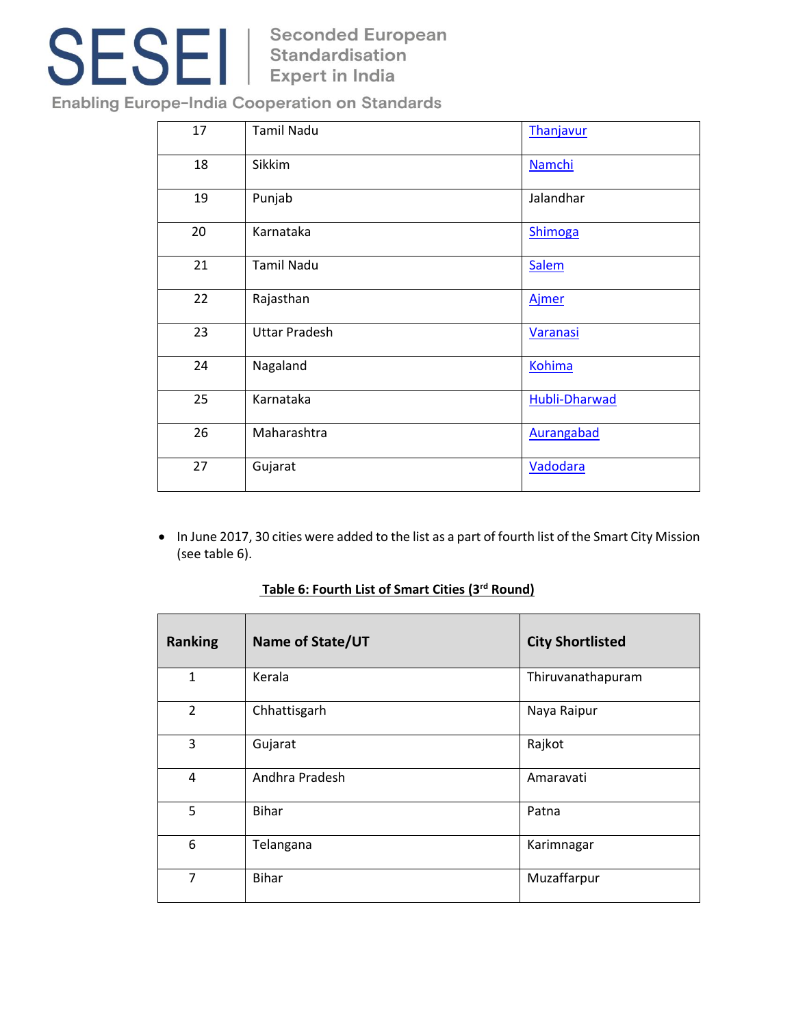**Enabling Europe-India Cooperation on Standards** 

| 17 | <b>Tamil Nadu</b>          | Thanjavur            |
|----|----------------------------|----------------------|
| 18 | Sikkim                     | <b>Namchi</b>        |
| 19 | Punjab                     | Jalandhar            |
| 20 | Karnataka                  | <b>Shimoga</b>       |
| 21 | Tamil Nadu                 | Salem                |
| 22 | Rajasthan                  | <b>Ajmer</b>         |
| 23 | <b>Uttar Pradesh</b>       | <b>Varanasi</b>      |
| 24 | Nagaland                   | Kohima               |
| 25 | Karnataka                  | <b>Hubli-Dharwad</b> |
| 26 | Maharashtra<br>Aurangabad  |                      |
| 27 | Gujarat<br><b>Vadodara</b> |                      |

 In June 2017, 30 cities were added to the list as a part of fourth list of the Smart City Mission (see table 6).

| <b>Ranking</b> | Name of State/UT | <b>City Shortlisted</b> |
|----------------|------------------|-------------------------|
| 1              | Kerala           | Thiruvanathapuram       |
| $\overline{2}$ | Chhattisgarh     | Naya Raipur             |
| 3              | Gujarat          | Rajkot                  |
| 4              | Andhra Pradesh   | Amaravati               |
| 5              | <b>Bihar</b>     | Patna                   |
| 6              | Telangana        | Karimnagar              |
| $\overline{7}$ | <b>Bihar</b>     | Muzaffarpur             |

#### **[Table 6: Fourth List of Smart Cities](http://smartcities.gov.in/upload/595b3028774c6Round%203%20Winning_Cities.pdf) (3rd Round)**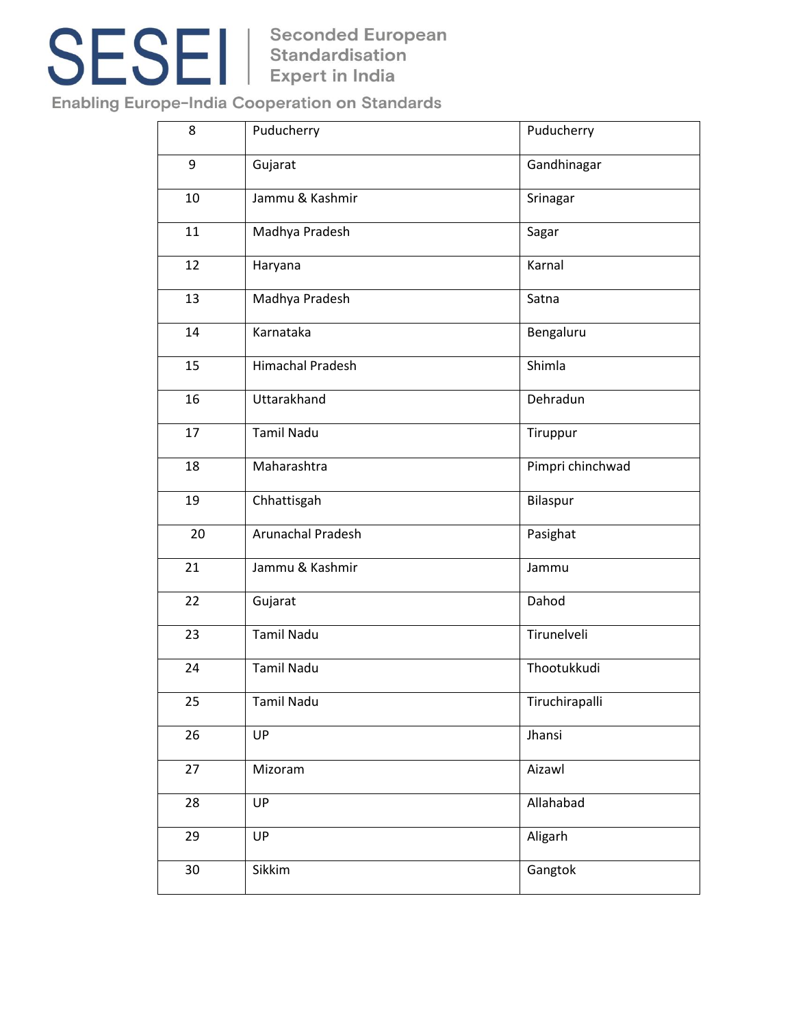| 8  | Puducherry<br>Puducherry          |                  |  |  |
|----|-----------------------------------|------------------|--|--|
| 9  | Gandhinagar<br>Gujarat            |                  |  |  |
| 10 | Jammu & Kashmir                   | Srinagar         |  |  |
| 11 | Madhya Pradesh                    | Sagar            |  |  |
| 12 | Haryana                           | Karnal           |  |  |
| 13 | Madhya Pradesh                    | Satna            |  |  |
| 14 | Karnataka                         | Bengaluru        |  |  |
| 15 | <b>Himachal Pradesh</b><br>Shimla |                  |  |  |
| 16 | Uttarakhand                       | Dehradun         |  |  |
| 17 | <b>Tamil Nadu</b>                 | Tiruppur         |  |  |
| 18 | Maharashtra                       | Pimpri chinchwad |  |  |
| 19 | Chhattisgah                       | Bilaspur         |  |  |
| 20 | Arunachal Pradesh                 | Pasighat         |  |  |
| 21 | Jammu & Kashmir                   | Jammu            |  |  |
| 22 | Gujarat                           | Dahod            |  |  |
| 23 | <b>Tamil Nadu</b><br>Tirunelveli  |                  |  |  |
| 24 | <b>Tamil Nadu</b>                 | Thootukkudi      |  |  |
| 25 | <b>Tamil Nadu</b>                 | Tiruchirapalli   |  |  |
|    |                                   |                  |  |  |
| 26 | <b>UP</b>                         | Jhansi           |  |  |
| 27 | Mizoram                           | Aizawl           |  |  |
| 28 | UP                                | Allahabad        |  |  |
| 29 | UP                                | Aligarh          |  |  |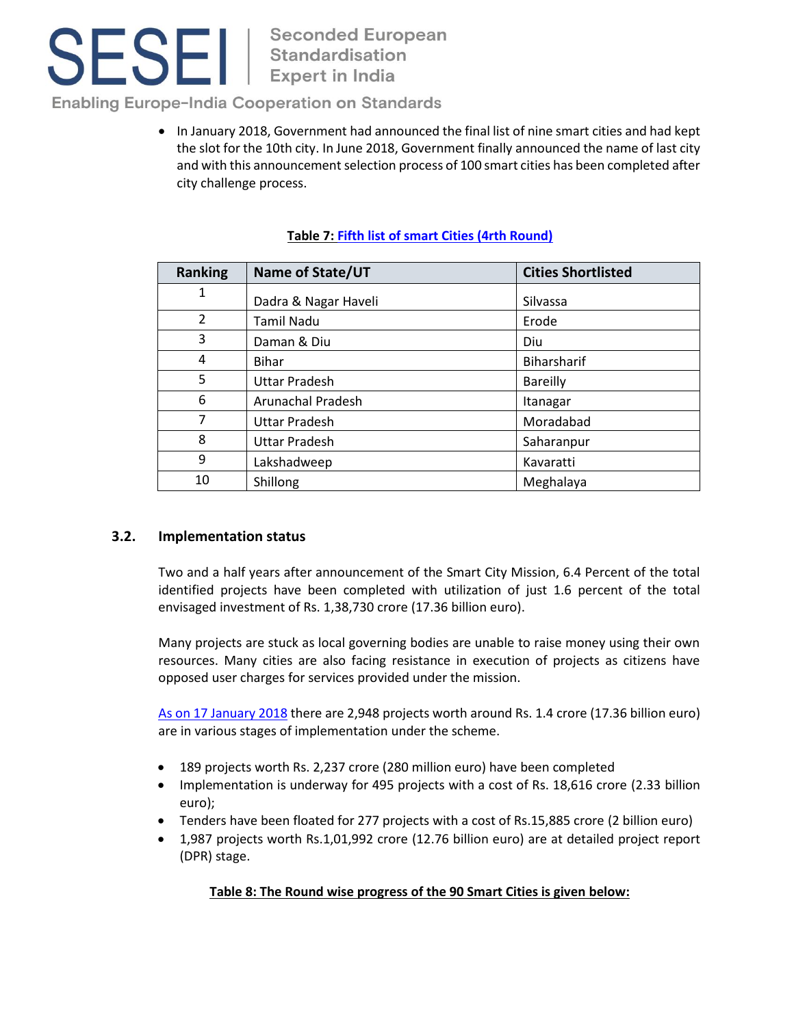### **ESE SERVIS Seconded Europ**<br> **Standardisation**<br>
Expert in India **Seconded European Enabling Europe-India Cooperation on Standards**

 In January 2018, Government had announced the final list of nine smart cities and had kept the slot for the 10th city. In June 2018, Government finally announced the name of last city and with this announcement selection process of 100 smart cities has been completed after city challenge process.

| <b>Ranking</b> | <b>Name of State/UT</b>  | <b>Cities Shortlisted</b> |
|----------------|--------------------------|---------------------------|
| 1              | Dadra & Nagar Haveli     | Silvassa                  |
| $\overline{2}$ | <b>Tamil Nadu</b>        | Erode                     |
| 3              | Daman & Diu              | Diu                       |
| 4              | <b>Bihar</b>             | <b>Biharsharif</b>        |
| 5              | <b>Uttar Pradesh</b>     | <b>Bareilly</b>           |
| 6              | <b>Arunachal Pradesh</b> | Itanagar                  |
| 7              | <b>Uttar Pradesh</b>     | Moradabad                 |
| 8              | <b>Uttar Pradesh</b>     | Saharanpur                |
| 9              | Lakshadweep              | Kavaratti                 |
| 10             | Shillong                 | Meghalaya                 |

#### **Table 7: [Fifth list of smart Cities \(4rth Round\)](http://smartcities.gov.in/upload/5a61d5c1234a4Winning_Cities_Round4.pdf)**

#### <span id="page-19-0"></span>**3.2. Implementation status**

Two and a half years after announcement of the Smart City Mission, 6.4 Percent of the total identified projects have been completed with utilization of just 1.6 percent of the total envisaged investment of Rs. 1,38,730 crore (17.36 billion euro).

Many projects are stuck as local governing bodies are unable to raise money using their own resources. Many cities are also facing resistance in execution of projects as citizens have opposed user charges for services provided under the mission.

[As on 17 January 2018](http://pib.nic.in/newsite/PrintRelease.aspx?relid=175750) there are 2,948 projects worth around Rs. 1.4 crore (17.36 billion euro) are in various stages of implementation under the scheme.

- 189 projects worth Rs. 2,237 crore (280 million euro) have been completed
- Implementation is underway for 495 projects with a cost of Rs. 18,616 crore (2.33 billion euro);
- Tenders have been floated for 277 projects with a cost of Rs.15,885 crore (2 billion euro)
- 1,987 projects worth Rs.1,01,992 crore (12.76 billion euro) are at detailed project report (DPR) stage.

#### **Table 8: The Round wise progress of the 90 Smart Cities is given below:**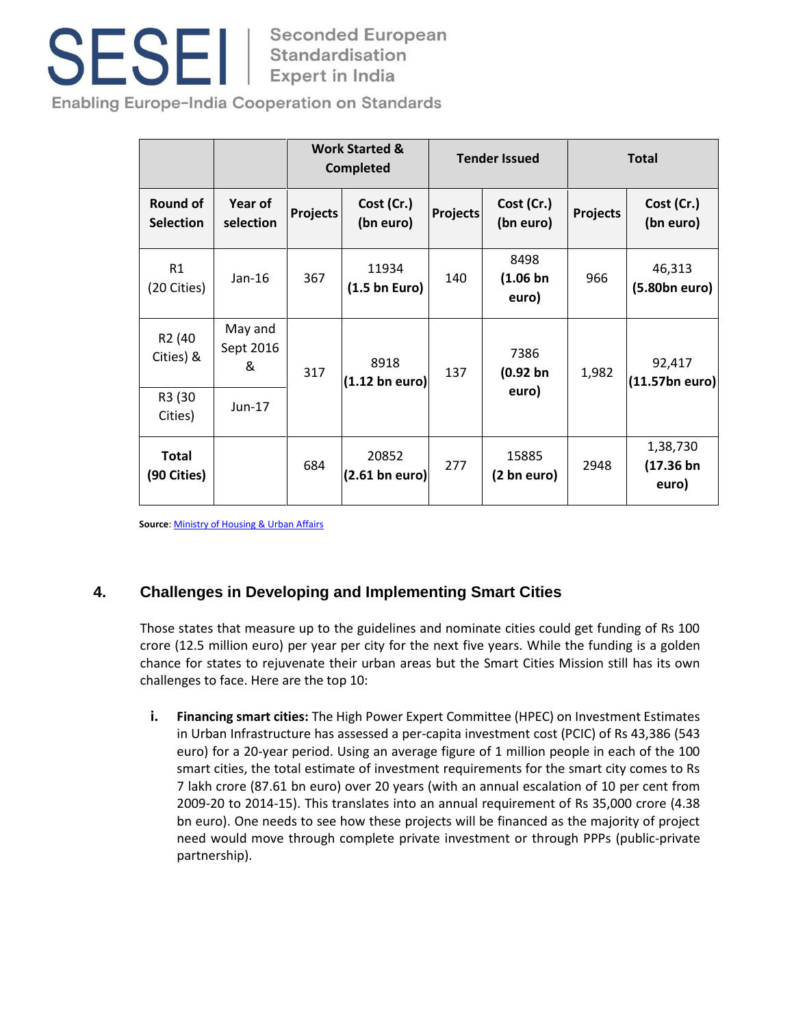### SESE | Seconded Europ **Seconded European Enabling Europe-India Cooperation on Standards**

|                                     |                           | <b>Work Started &amp;</b><br><b>Completed</b>   |                                  |                 | <b>Tender Issued</b>      |                 | <b>Total</b>                 |
|-------------------------------------|---------------------------|-------------------------------------------------|----------------------------------|-----------------|---------------------------|-----------------|------------------------------|
| <b>Round of</b><br><b>Selection</b> | Year of<br>selection      | <b>Projects</b>                                 | Cost (Cr.)<br>(bn euro)          | <b>Projects</b> | Cost (Cr.)<br>(bn euro)   | <b>Projects</b> | Cost (Cr.)<br>(bn euro)      |
| R <sub>1</sub><br>(20 Cities)       | $Jan-16$                  | 367                                             | 11934<br>$(1.5 \text{ bn}$ Euro) | 140             | 8498<br>(1.06 b)<br>euro) | 966             | 46,313<br>(5.80bn euro)      |
| R <sub>2</sub> (40<br>Cities) &     | May and<br>Sept 2016<br>& | 8918<br>317<br>$(1.12 \text{ bn} \text{ euro})$ |                                  | 137             | 7386<br>(0.92 b)          | 1,982           | 92,417<br>(11.57bn euro)     |
| R3 (30<br>Cities)                   | Jun-17                    |                                                 |                                  |                 | euro)                     |                 |                              |
| <b>Total</b><br>(90 Cities)         |                           | 684                                             | 20852<br>$(2.61$ bn euro)        | 277             | 15885<br>(2 bn euro)      | 2948            | 1,38,730<br>(17.36)<br>euro) |

**Source**[: Ministry of Housing & Urban Affairs](http://pib.nic.in/PressReleaseIframePage.aspx?PRID=1517205)

#### <span id="page-20-0"></span>**4. Challenges in Developing and Implementing Smart Cities**

Those states that measure up to the guidelines and nominate cities could get funding of Rs 100 crore (12.5 million euro) per year per city for the next five years. While the funding is a golden chance for states to rejuvenate their urban areas but the Smart Cities Mission still has its own challenges to face. Here are the top 10:

**i. Financing smart cities:** The High Power Expert Committee (HPEC) on Investment Estimates in Urban Infrastructure has assessed a per-capita investment cost (PCIC) of Rs 43,386 (543 euro) for a 20-year period. Using an average figure of 1 million people in each of the 100 smart cities, the total estimate of investment requirements for the smart city comes to Rs 7 lakh crore (87.61 bn euro) over 20 years (with an annual escalation of 10 per cent from 2009-20 to 2014-15). This translates into an annual requirement of Rs 35,000 crore (4.38 bn euro). One needs to see how these projects will be financed as the majority of project need would move through complete private investment or through PPPs (public-private partnership).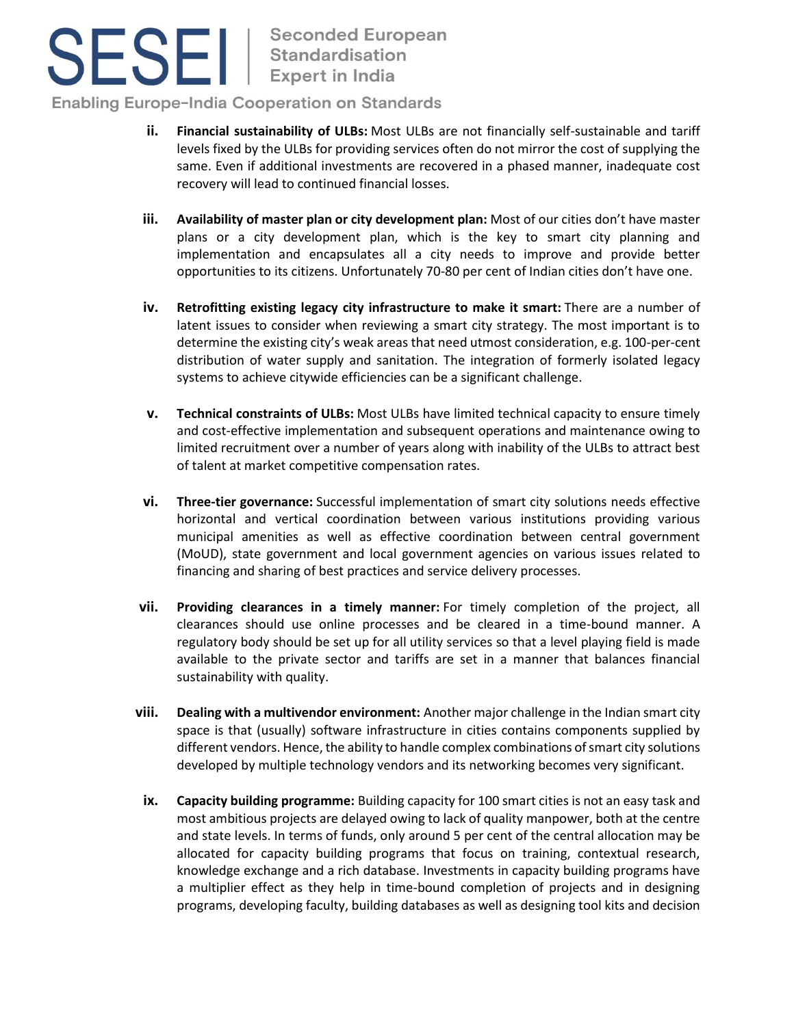## SESE | Seconded European **Enabling Europe-India Cooperation on Standards**

#### **ii. Financial sustainability of ULBs:** Most ULBs are not financially self-sustainable and tariff levels fixed by the ULBs for providing services often do not mirror the cost of supplying the same. Even if additional investments are recovered in a phased manner, inadequate cost recovery will lead to continued financial losses.

- **iii. Availability of master plan or city development plan:** Most of our cities don't have master plans or a city development plan, which is the key to smart city planning and implementation and encapsulates all a city needs to improve and provide better opportunities to its citizens. Unfortunately 70-80 per cent of Indian cities don't have one.
- **iv. Retrofitting existing legacy city infrastructure to make it smart:** There are a number of latent issues to consider when reviewing a smart city strategy. The most important is to determine the existing city's weak areas that need utmost consideration, e.g. 100-per-cent distribution of water supply and sanitation. The integration of formerly isolated legacy systems to achieve citywide efficiencies can be a significant challenge.
- **v. Technical constraints of ULBs:** Most ULBs have limited technical capacity to ensure timely and cost-effective implementation and subsequent operations and maintenance owing to limited recruitment over a number of years along with inability of the ULBs to attract best of talent at market competitive compensation rates.
- **vi. Three-tier governance:** Successful implementation of smart city solutions needs effective horizontal and vertical coordination between various institutions providing various municipal amenities as well as effective coordination between central government (MoUD), state government and local government agencies on various issues related to financing and sharing of best practices and service delivery processes.
- **vii. Providing clearances in a timely manner:** For timely completion of the project, all clearances should use online processes and be cleared in a time-bound manner. A regulatory body should be set up for all utility services so that a level playing field is made available to the private sector and tariffs are set in a manner that balances financial sustainability with quality.
- **viii. Dealing with a multivendor environment:** Another major challenge in the Indian smart city space is that (usually) software infrastructure in cities contains components supplied by different vendors. Hence, the ability to handle complex combinations of smart city solutions developed by multiple technology vendors and its networking becomes very significant.
- **ix. Capacity building programme:** Building capacity for 100 smart cities is not an easy task and most ambitious projects are delayed owing to lack of quality manpower, both at the centre and state levels. In terms of funds, only around 5 per cent of the central allocation may be allocated for capacity building programs that focus on training, contextual research, knowledge exchange and a rich database. Investments in capacity building programs have a multiplier effect as they help in time-bound completion of projects and in designing programs, developing faculty, building databases as well as designing tool kits and decision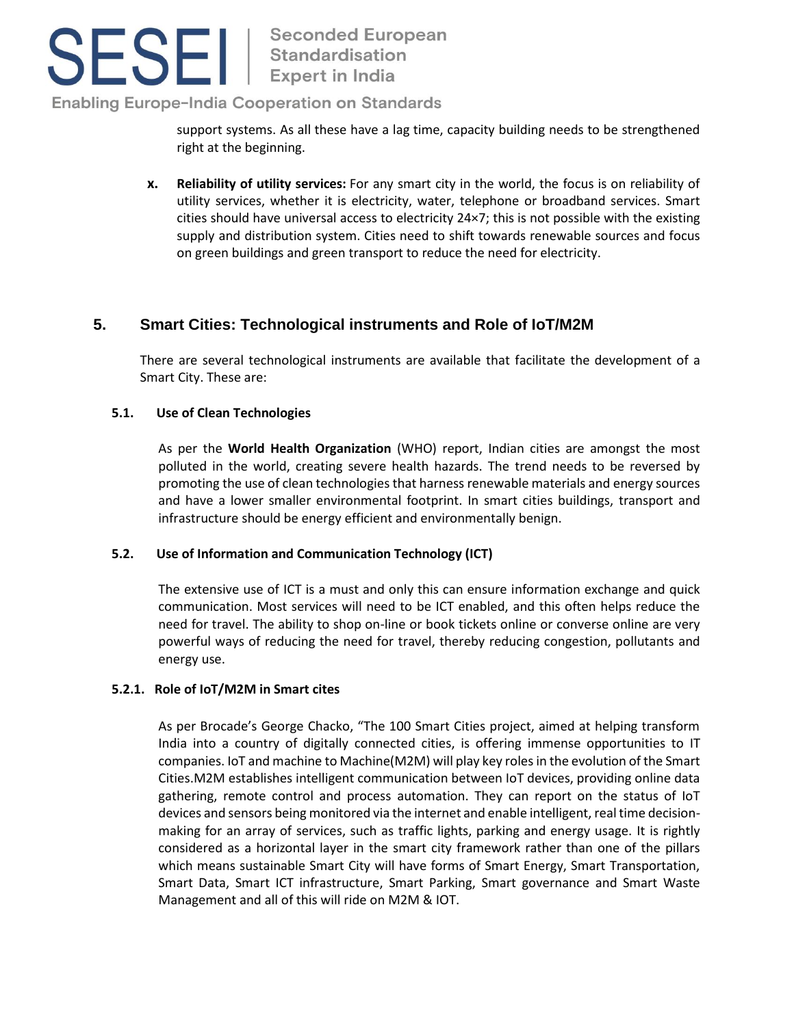### **SEI** Seconded Europ<br>
Standardisation<br>
Expert in India **Seconded European Enabling Europe-India Cooperation on Standards**

support systems. As all these have a lag time, capacity building needs to be strengthened right at the beginning.

**x. Reliability of utility services:** For any smart city in the world, the focus is on reliability of utility services, whether it is electricity, water, telephone or broadband services. Smart cities should have universal access to electricity 24×7; this is not possible with the existing supply and distribution system. Cities need to shift towards renewable sources and focus on green buildings and green transport to reduce the need for electricity.

#### <span id="page-22-0"></span>**5. Smart Cities: Technological instruments and Role of IoT/M2M**

There are several technological instruments are available that facilitate the development of a Smart City. These are:

#### <span id="page-22-1"></span>**5.1. Use of Clean Technologies**

As per the **World Health Organization** (WHO) report, Indian cities are amongst the most polluted in the world, creating severe health hazards. The trend needs to be reversed by promoting the use of clean technologies that harness renewable materials and energy sources and have a lower smaller environmental footprint. In smart cities buildings, transport and infrastructure should be energy efficient and environmentally benign.

#### <span id="page-22-2"></span>**5.2. Use of Information and Communication Technology (ICT)**

The extensive use of ICT is a must and only this can ensure information exchange and quick communication. Most services will need to be ICT enabled, and this often helps reduce the need for travel. The ability to shop on-line or book tickets online or converse online are very powerful ways of reducing the need for travel, thereby reducing congestion, pollutants and energy use.

#### <span id="page-22-3"></span>**5.2.1. Role of IoT/M2M in Smart cites**

As per Brocade's George Chacko, "The 100 Smart Cities project, aimed at helping transform India into a country of digitally connected cities, is offering immense opportunities to IT companies. IoT and machine to Machine(M2M) will play key roles in the evolution of the Smart Cities.M2M establishes intelligent communication between IoT devices, providing online data gathering, remote control and process automation. They can report on the status of IoT devices and sensors being monitored via the internet and enable intelligent, real time decisionmaking for an array of services, such as traffic lights, parking and energy usage. It is rightly considered as a horizontal layer in the smart city framework rather than one of the pillars which means sustainable Smart City will have forms of Smart Energy, Smart Transportation, Smart Data, Smart ICT infrastructure, Smart Parking, Smart governance and Smart Waste Management and all of this will ride on M2M & IOT.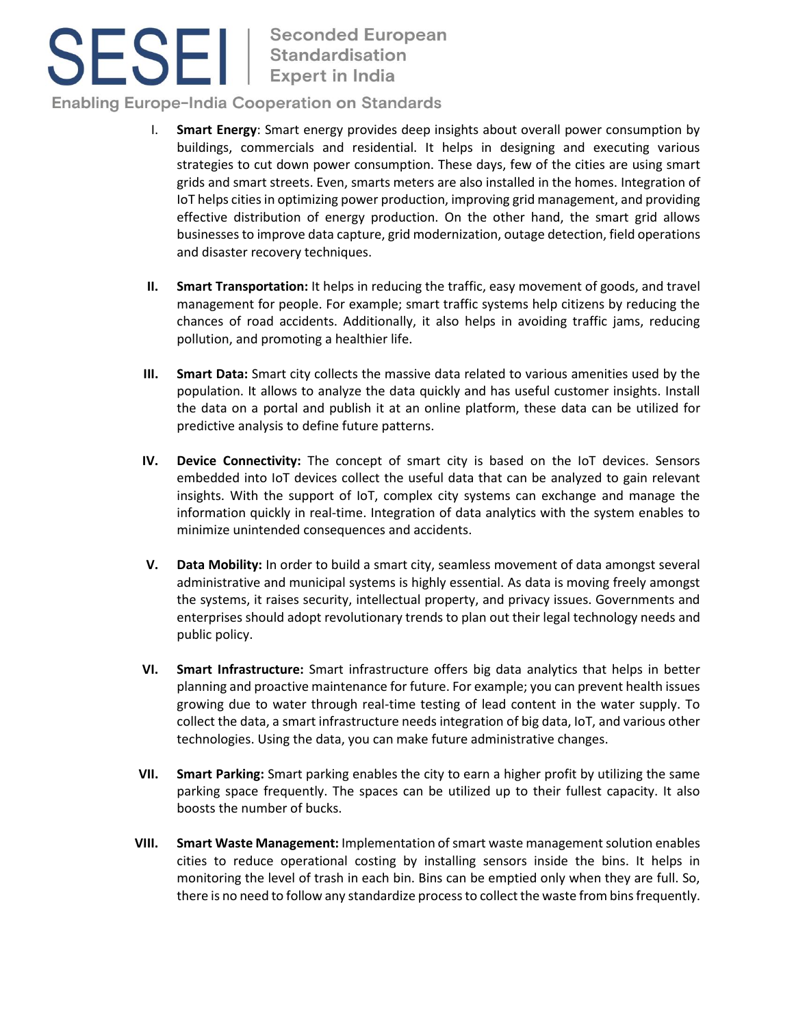## SESI Seconded European<br>
ESEI | Standardisation<br>
Expert in India **Enabling Europe-India Cooperation on Standards**

- I. **Smart Energy**: Smart energy provides deep insights about overall power consumption by buildings, commercials and residential. It helps in designing and executing various strategies to cut down power consumption. These days, few of the cities are using smart grids and smart streets. Even, smarts meters are also installed in the homes. Integration of IoT helps cities in optimizing power production, improving grid management, and providing effective distribution of energy production. On the other hand, the smart grid allows businesses to improve data capture, grid modernization, outage detection, field operations and disaster recovery techniques.
- **II. Smart Transportation:** It helps in reducing the traffic, easy movement of goods, and travel management for people. For example; smart traffic systems help citizens by reducing the chances of road accidents. Additionally, it also helps in avoiding traffic jams, reducing pollution, and promoting a healthier life.
- **III. Smart Data:** Smart city collects the massive data related to various amenities used by the population. It allows to analyze the data quickly and has useful customer insights. Install the data on a portal and publish it at an online platform, these data can be utilized for predictive analysis to define future patterns.
- **IV. Device Connectivity:** The concept of smart city is based on the IoT devices. Sensors embedded into IoT devices collect the useful data that can be analyzed to gain relevant insights. With the support of IoT, complex city systems can exchange and manage the information quickly in real-time. Integration of data analytics with the system enables to minimize unintended consequences and accidents.
- **V. Data Mobility:** In order to build a smart city, seamless movement of data amongst several administrative and municipal systems is highly essential. As data is moving freely amongst the systems, it raises security, intellectual property, and privacy issues. Governments and enterprises should adopt revolutionary trends to plan out their legal technology needs and public policy.
- **VI. Smart Infrastructure:** Smart infrastructure offers big data analytics that helps in better planning and proactive maintenance for future. For example; you can prevent health issues growing due to water through real-time testing of lead content in the water supply. To collect the data, a smart infrastructure needs integration of big data, IoT, and various other technologies. Using the data, you can make future administrative changes.
- **VII. Smart Parking:** Smart parking enables the city to earn a higher profit by utilizing the same parking space frequently. The spaces can be utilized up to their fullest capacity. It also boosts the number of bucks.
- **VIII. Smart Waste Management:** Implementation of smart waste management solution enables cities to reduce operational costing by installing sensors inside the bins. It helps in monitoring the level of trash in each bin. Bins can be emptied only when they are full. So, there is no need to follow any standardize process to collect the waste from bins frequently.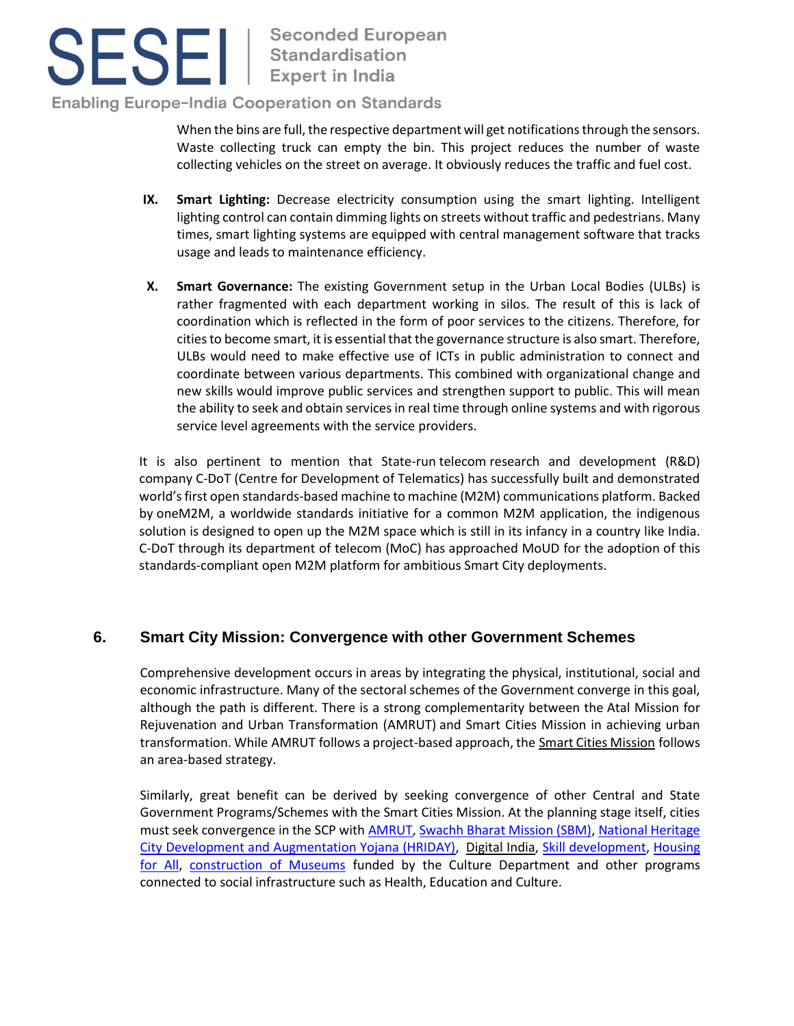## $\left\{ \text{SE} \right\}$  Seconded European **Enabling Europe-India Cooperation on Standards**

When the bins are full, the respective department will get notifications through the sensors. Waste collecting truck can empty the bin. This project reduces the number of waste collecting vehicles on the street on average. It obviously reduces the traffic and fuel cost.

- **IX. Smart Lighting:** Decrease electricity consumption using the smart lighting. Intelligent lighting control can contain dimming lights on streets without traffic and pedestrians. Many times, smart lighting systems are equipped with central management software that tracks usage and leads to maintenance efficiency.
- **X. Smart Governance:** The existing Government setup in the Urban Local Bodies (ULBs) is rather fragmented with each department working in silos. The result of this is lack of coordination which is reflected in the form of poor services to the citizens. Therefore, for cities to become smart, it is essential that the governance structure is also smart. Therefore, ULBs would need to make effective use of ICTs in public administration to connect and coordinate between various departments. This combined with organizational change and new skills would improve public services and strengthen support to public. This will mean the ability to seek and obtain services in real time through online systems and with rigorous service level agreements with the service providers.

It is also pertinent to mention that State-run telecom research and development (R&D) company C-DoT (Centre for Development of Telematics) has successfully built and demonstrated world's first open standards-based machine to machine (M2M) communications platform. Backed by oneM2M, a worldwide standards initiative for a common M2M application, the indigenous solution is designed to open up the M2M space which is still in its infancy in a country like India. C-DoT through its department of telecom (MoC) has approached MoUD for the adoption of this standards-compliant open M2M platform for ambitious Smart City deployments.

#### <span id="page-24-0"></span>**6. Smart City Mission: Convergence with other Government Schemes**

Comprehensive development occurs in areas by integrating the physical, institutional, social and economic infrastructure. Many of the sectoral schemes of the Government converge in this goal, although the path is different. There is a strong complementarity between the Atal Mission for Rejuvenation and Urban Transformation [\(AMRUT\)](https://india.gov.in/atal-mission-rejuvenation-and-urban-transformation-amrut) and Smart Cities Mission in achieving urban transformation. While [AMRUT](https://india.gov.in/atal-mission-rejuvenation-and-urban-transformation-amrut) follows a project-based approach, the [Smart Cities Mission](https://india.gov.in/smart-cities-mission-portal-ministry-urban-development) follows an area-based strategy.

Similarly, great benefit can be derived by seeking convergence of other Central and State Government Programs/Schemes with the Smart Cities Mission. At the planning stage itself, cities must seek convergence in the SCP with [AMRUT,](http://amrut.gov.in/) [Swachh Bharat Mission \(SBM\),](http://swachhbharaturban.gov.in/) [National Heritage](http://spaenvis.nic.in/index1.aspx?lid=1709&linkid=486&langid=1&mid=1)  [City Development and Augmentation Yojana \(HRIDAY\),](http://spaenvis.nic.in/index1.aspx?lid=1709&linkid=486&langid=1&mid=1) [Digital India,](https://india.gov.in/spotlight/digital-india-programme-digitally-empowered-society-and-knowledge-economy) [Skill development,](http://www.skilldevelopment.gov.in/nationalskilldevelopmentcorporation.html) [Housing](http://www.pmindia.gov.in/en/news_updates/housing-for-all-by-2022-mission-national-mission-for-urban-housing/)  [for All,](http://www.pmindia.gov.in/en/news_updates/housing-for-all-by-2022-mission-national-mission-for-urban-housing/) [construction of Museums](https://indiaculture.nic.in/museum-grant-scheme) funded by the Culture Department and other programs connected to social infrastructure such as Health, Education and Culture.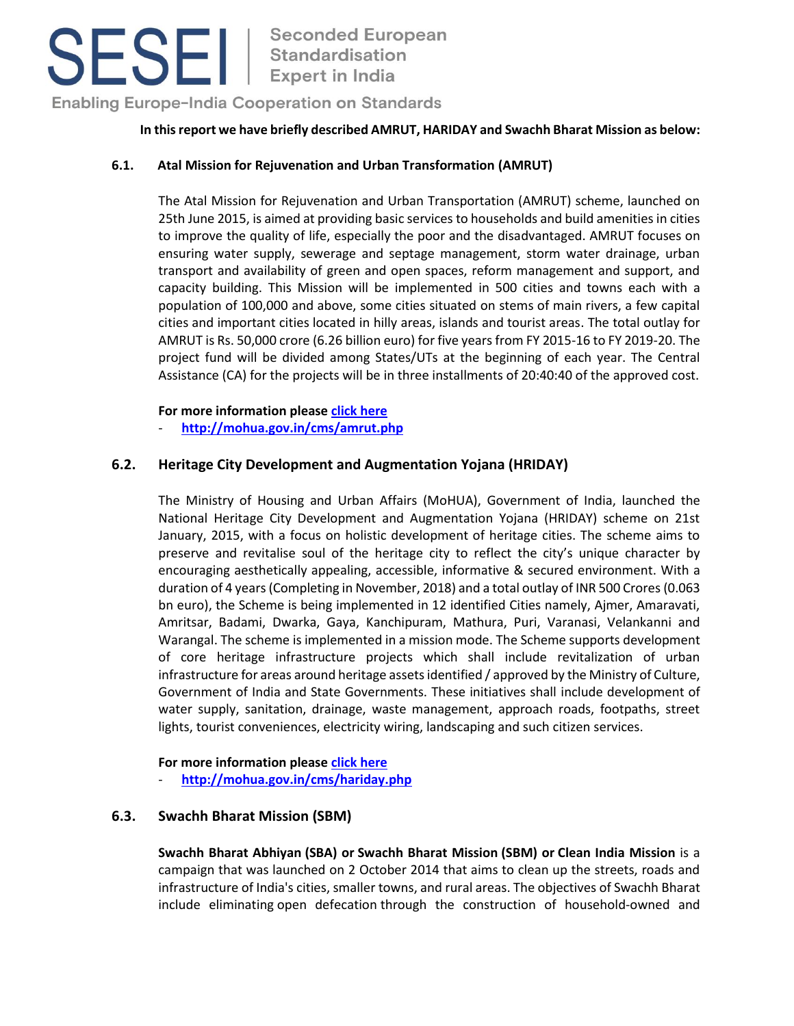## **SESPERSE SECONDER SECONDER STANDARD Standardisation**<br>Expert in India **Enabling Europe-India Cooperation on Standards**

#### **In this report we have briefly described AMRUT, HARIDAY and Swachh Bharat Mission as below:**

#### **6.1. Atal Mission for Rejuvenation and Urban Transformation (AMRUT)**

<span id="page-25-0"></span>The Atal Mission for Rejuvenation and Urban Transportation (AMRUT) scheme, launched on 25th June 2015, is aimed at providing basic services to households and build amenities in cities to improve the quality of life, especially the poor and the disadvantaged. AMRUT focuses on ensuring water supply, sewerage and septage management, storm water drainage, urban transport and availability of green and open spaces, reform management and support, and capacity building. This Mission will be implemented in 500 cities and towns each with a population of 100,000 and above, some cities situated on stems of main rivers, a few capital cities and important cities located in hilly areas, islands and tourist areas. The total outlay for AMRUT is Rs. 50,000 crore (6.26 billion euro) for five years from FY 2015-16 to FY 2019-20. The project fund will be divided among States/UTs at the beginning of each year. The Central Assistance (CA) for the projects will be in three installments of 20:40:40 of the approved cost.

**For more information please [click here](http://mohua.gov.in/cms/amrut.php)**

- **<http://mohua.gov.in/cms/amrut.php>**

#### <span id="page-25-1"></span>**6.2. Heritage City Development and Augmentation Yojana (HRIDAY)**

The Ministry of Housing and Urban Affairs (MoHUA), Government of India, launched the National Heritage City Development and Augmentation Yojana (HRIDAY) scheme on 21st January, 2015, with a focus on holistic development of heritage cities. The scheme aims to preserve and revitalise soul of the heritage city to reflect the city's unique character by encouraging aesthetically appealing, accessible, informative & secured environment. With a duration of 4 years (Completing in November, 2018) and a total outlay of INR 500 Crores(0.063 bn euro), the Scheme is being implemented in 12 identified Cities namely, Ajmer, Amaravati, Amritsar, Badami, Dwarka, Gaya, Kanchipuram, Mathura, Puri, Varanasi, Velankanni and Warangal. The scheme is implemented in a mission mode. The Scheme supports development of core heritage infrastructure projects which shall include revitalization of urban infrastructure for areas around heritage assets identified / approved by the Ministry of Culture, Government of India and State Governments. These initiatives shall include development of water supply, sanitation, drainage, waste management, approach roads, footpaths, street lights, tourist conveniences, electricity wiring, landscaping and such citizen services.

#### For more information please **click here**

- **<http://mohua.gov.in/cms/hariday.php>**

#### <span id="page-25-2"></span>**6.3. Swachh Bharat Mission (SBM)**

**Swachh Bharat Abhiyan (SBA) or Swachh Bharat Mission (SBM) or Clean India Mission** is a campaign that was launched on 2 October 2014 that aims to clean up the streets, roads and infrastructure of India's cities, smaller towns, and rural areas. The objectives of Swachh Bharat include eliminating open defecation through the construction of household-owned and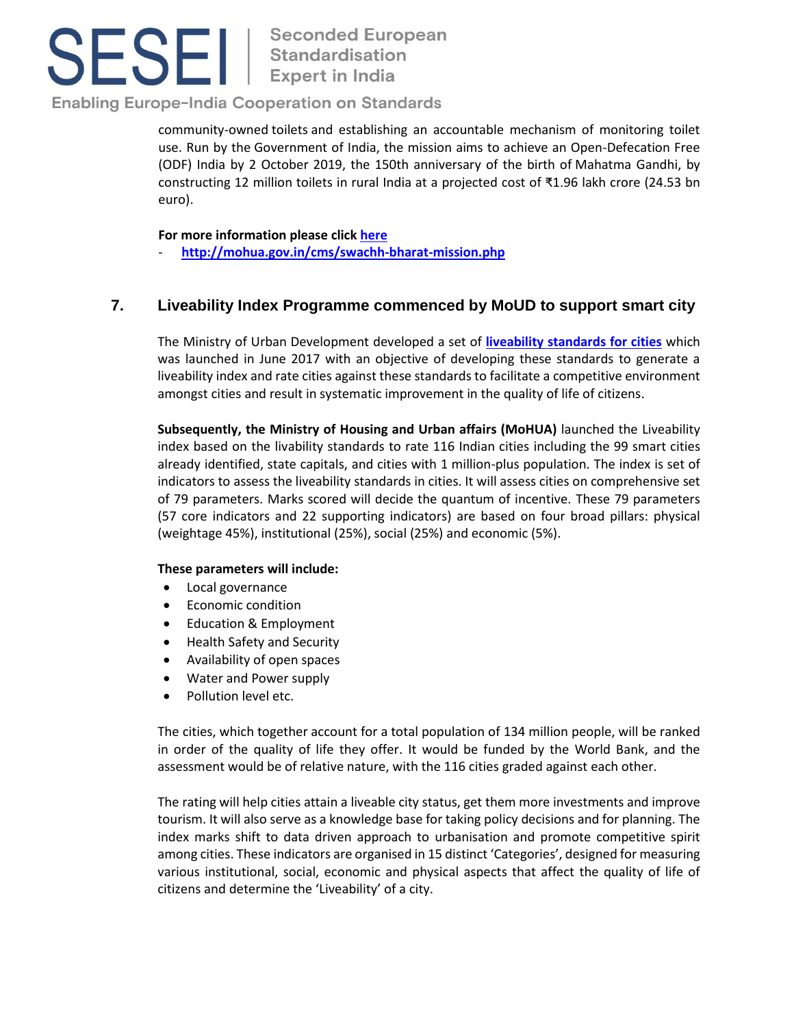### **SEI** Seconded Europ<br>
Standardisation<br>
Expert in India **Seconded European Enabling Europe-India Cooperation on Standards**

community-owned toilets and establishing an accountable mechanism of monitoring toilet use. Run by the Government of India, the mission aims to achieve an Open-Defecation Free (ODF) India by 2 October 2019, the 150th anniversary of the birth of Mahatma Gandhi, by constructing 12 million toilets in rural India at a projected cost of ₹1.96 lakh crore (24.53 bn euro).

**For more information please click [here](http://mohua.gov.in/cms/swachh-bharat-mission.php)**

- **<http://mohua.gov.in/cms/swachh-bharat-mission.php>**

#### <span id="page-26-0"></span>**7. Liveability Index Programme commenced by MoUD to support smart city**

The Ministry of Urban Development developed a set of **[liveability standards for cities](http://smartcities.gov.in/upload/uploadfiles/files/LiveabilityStandards.pdf)** which was launched in June 2017 with an objective of developing these standards to generate a liveability index and rate cities against these standards to facilitate a competitive environment amongst cities and result in systematic improvement in the quality of life of citizens.

**Subsequently, the Ministry of Housing and Urban affairs (MoHUA)** launched the Liveability index based on the livability standards to rate 116 Indian cities including the 99 smart cities already identified, state capitals, and cities with 1 million-plus population. The index is set of indicators to assess the liveability standards in cities. It will assess cities on comprehensive set of 79 parameters. Marks scored will decide the quantum of incentive. These 79 parameters (57 core indicators and 22 supporting indicators) are based on four broad pillars: physical (weightage 45%), institutional (25%), social (25%) and economic (5%).

#### **These parameters will include:**

- Local governance
- Economic condition
- Education & Employment
- Health Safety and Security
- Availability of open spaces
- Water and Power supply
- Pollution level etc.

The cities, which together account for a total population of 134 million people, will be ranked in order of the quality of life they offer. It would be funded by the World Bank, and the assessment would be of relative nature, with the 116 cities graded against each other.

The rating will help cities attain a liveable city status, get them more investments and improve tourism. It will also serve as a knowledge base for taking policy decisions and for planning. The index marks shift to data driven approach to urbanisation and promote competitive spirit among cities. These indicators are organised in 15 distinct 'Categories', designed for measuring various institutional, social, economic and physical aspects that affect the quality of life of citizens and determine the 'Liveability' of a city.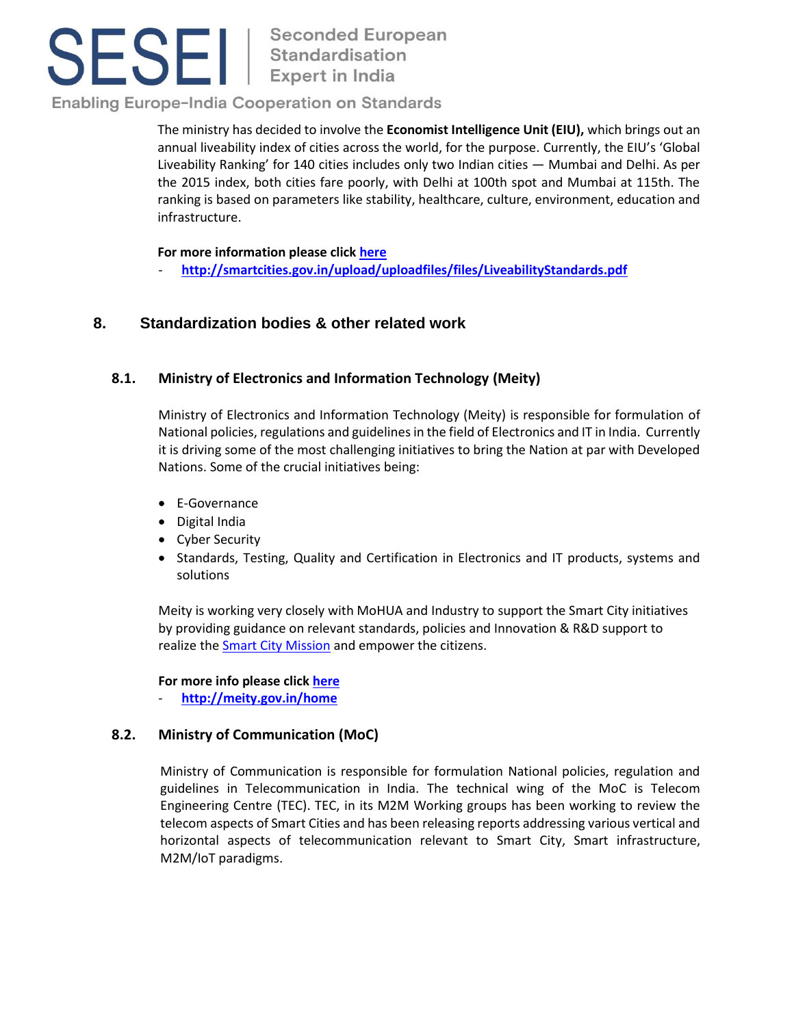## **SESPERSE SECONDER SECONDER STANDARD Standardisation**<br>Expert in India **Enabling Europe-India Cooperation on Standards**

The ministry has decided to involve the **Economist Intelligence Unit (EIU),** which brings out an annual liveability index of cities across the world, for the purpose. Currently, the EIU's 'Global Liveability Ranking' for 140 cities includes only two Indian cities — Mumbai and Delhi. As per the 2015 index, both cities fare poorly, with Delhi at 100th spot and Mumbai at 115th. The ranking is based on parameters like stability, healthcare, culture, environment, education and infrastructure.

#### **For more information please click [here](http://smartcities.gov.in/upload/uploadfiles/files/LiveabilityStandards.pdf)**

- **<http://smartcities.gov.in/upload/uploadfiles/files/LiveabilityStandards.pdf>**

#### <span id="page-27-0"></span>**8. Standardization bodies & other related work**

#### <span id="page-27-1"></span>**8.1. Ministry of Electronics and Information Technology (Meity)**

Ministry of Electronics and Information Technology (Meity) is responsible for formulation of National policies, regulations and guidelines in the field of Electronics and IT in India. Currently it is driving some of the most challenging initiatives to bring the Nation at par with Developed Nations. Some of the crucial initiatives being:

- E-Governance
- Digital India
- Cyber Security
- Standards, Testing, Quality and Certification in Electronics and IT products, systems and solutions

Meity is working very closely with MoHUA and Industry to support the Smart City initiatives by providing guidance on relevant standards, policies and Innovation & R&D support to realize th[e Smart City Mission](http://smartcities.gov.in/content/innerpage/strategy.php) and empower the citizens.

#### **For more info please click [here](http://meity.gov.in/home)**

- **<http://meity.gov.in/home>**

#### <span id="page-27-2"></span>**8.2. Ministry of Communication (MoC)**

Ministry of Communication is responsible for formulation National policies, regulation and guidelines in Telecommunication in India. The technical wing of the MoC is Telecom Engineering Centre (TEC). TEC, in its M2M Working groups has been working to review the telecom aspects of Smart Cities and has been releasing reports addressing various vertical and horizontal aspects of telecommunication relevant to Smart City, Smart infrastructure, M2M/IoT paradigms.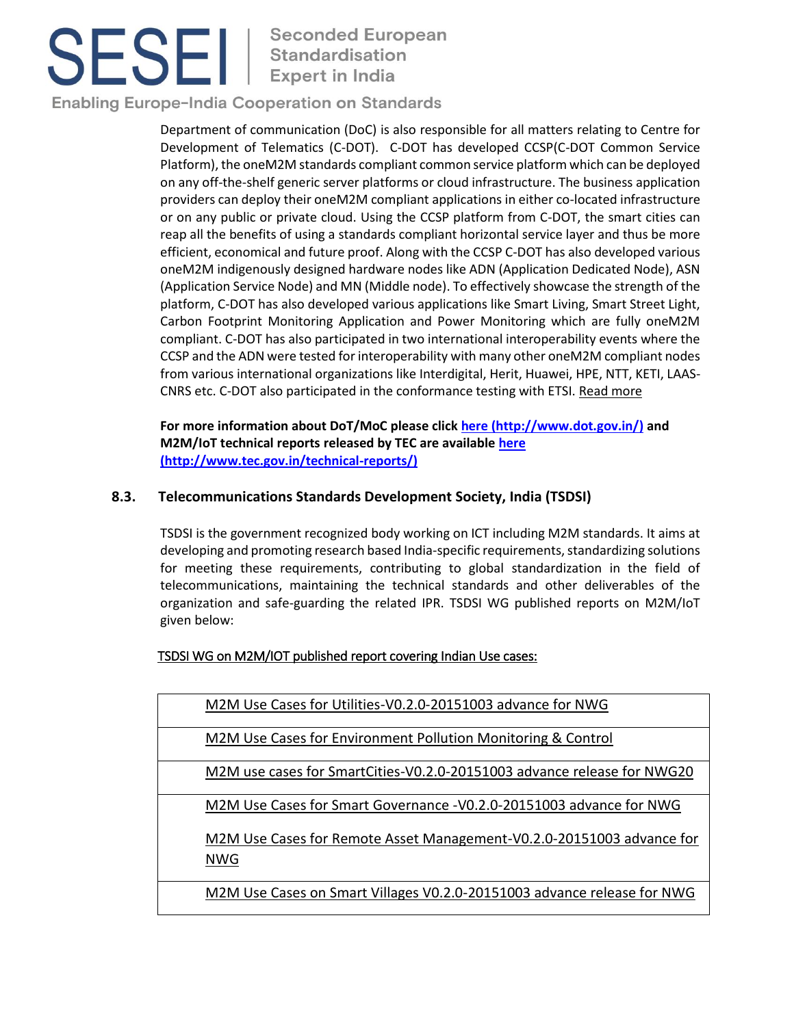### SEI Seconded Europ **Seconded European Enabling Europe-India Cooperation on Standards**

Department of communication (DoC) is also responsible for all matters relating to Centre for Development of Telematics (C-DOT). C-DOT has developed CCSP(C-DOT Common Service Platform), the oneM2M standards compliant common service platform which can be deployed on any off-the-shelf generic server platforms or cloud infrastructure. The business application providers can deploy their oneM2M compliant applications in either co-located infrastructure or on any public or private cloud. Using the CCSP platform from C-DOT, the smart cities can reap all the benefits of using a standards compliant horizontal service layer and thus be more efficient, economical and future proof. Along with the CCSP C-DOT has also developed various oneM2M indigenously designed hardware nodes like ADN (Application Dedicated Node), ASN (Application Service Node) and MN (Middle node). To effectively showcase the strength of the platform, C-DOT has also developed various applications like Smart Living, Smart Street Light, Carbon Footprint Monitoring Application and Power Monitoring which are fully oneM2M compliant. C-DOT has also participated in two international interoperability events where the CCSP and the ADN were tested for interoperability with many other oneM2M compliant nodes from various international organizations like Interdigital, Herit, Huawei, HPE, NTT, KETI, LAAS-CNRS etc. C-DOT also participated in the conformance testing with ETSI[. Read more](http://pib.nic.in/newsite/PrintRelease.aspx?relid=161171)

**For more information about DoT/MoC please clic[k here](http://www.dot.gov.in/) (http://www.dot.gov.in/) and M2M/IoT technical reports released by TEC are availabl[e here](http://www.tec.gov.in/technical-reports/) [\(http://www.tec.gov.in/technical-reports/\)](http://www.tec.gov.in/technical-reports/)** 

#### <span id="page-28-0"></span>**8.3. Telecommunications Standards Development Society, India (TSDSI)**

TSDSI is the government recognized body working on ICT including M2M standards. It aims at developing and promoting research based India-specific requirements, standardizing solutions for meeting these requirements, contributing to global standardization in the field of telecommunications, maintaining the technical standards and other deliverables of the organization and safe-guarding the related IPR. TSDSI WG published reports on M2M/IoT given below:

#### TSDSI WG on M2M/IOT published report covering Indian Use cases:

| M2M Use Cases for Utilities-V0.2.0-20151003 advance for NWG                         |
|-------------------------------------------------------------------------------------|
| M2M Use Cases for Environment Pollution Monitoring & Control                        |
| M2M use cases for SmartCities-V0.2.0-20151003 advance release for NWG20             |
| M2M Use Cases for Smart Governance -V0.2.0-20151003 advance for NWG                 |
| M2M Use Cases for Remote Asset Management-V0.2.0-20151003 advance for<br><b>NWG</b> |
| M2M Use Cases on Smart Villages V0.2.0-20151003 advance release for NWG             |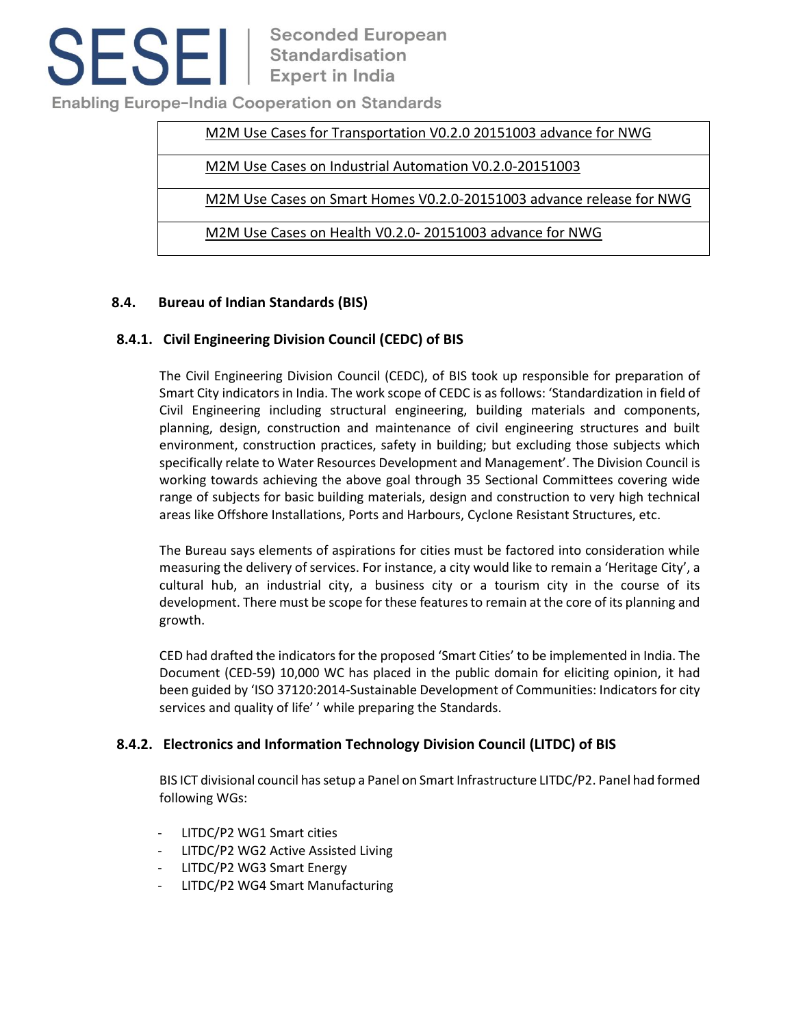**SE Expert in India Seconded European** 

**Enabling Europe-India Cooperation on Standards** 

[M2M Use Cases for Transportation V0.2.0 20151003 advance for NWG](http://tsdsi.org/standards/report/45) [M2M Use Cases on Industrial Automation V0.2.0-20151003](http://tsdsi.org/standards/report/46) [M2M Use Cases on Smart Homes V0.2.0-20151003 advance release for NWG](http://tsdsi.org/standards/report/47) [M2M Use Cases on Health V0.2.0-](http://tsdsi.org/standards/report/48) 20151003 advance for NWG

#### <span id="page-29-0"></span>**8.4. Bureau of Indian Standards (BIS)**

#### <span id="page-29-1"></span>**8.4.1. Civil Engineering Division Council (CEDC) of BIS**

The Civil Engineering Division Council (CEDC), of BIS took up responsible for preparation of Smart City indicators in India. The work scope of CEDC is as follows: 'Standardization in field of Civil Engineering including structural engineering, building materials and components, planning, design, construction and maintenance of civil engineering structures and built environment, construction practices, safety in building; but excluding those subjects which specifically relate to Water Resources Development and Management'. The Division Council is working towards achieving the above goal through 35 Sectional Committees covering wide range of subjects for basic building materials, design and construction to very high technical areas like Offshore Installations, Ports and Harbours, Cyclone Resistant Structures, etc.

The Bureau says elements of aspirations for cities must be factored into consideration while measuring the delivery of services. For instance, a city would like to remain a 'Heritage City', a cultural hub, an industrial city, a business city or a tourism city in the course of its development. There must be scope for these features to remain at the core of its planning and growth.

CED had drafted the indicators for the proposed 'Smart Cities' to be implemented in India. The Document (CED-59) 10,000 WC has placed in the public domain for eliciting opinion, it had been guided by 'ISO 37120:2014-Sustainable Development of Communities: Indicators for city services and quality of life' ' while preparing the Standards.

#### <span id="page-29-2"></span>**8.4.2. Electronics and Information Technology Division Council (LITDC) of BIS**

BIS ICT divisional council has setup a Panel on Smart Infrastructure LITDC/P2. Panel had formed following WGs:

- LITDC/P2 WG1 Smart cities
- LITDC/P2 WG2 Active Assisted Living
- LITDC/P2 WG3 Smart Energy
- LITDC/P2 WG4 Smart Manufacturing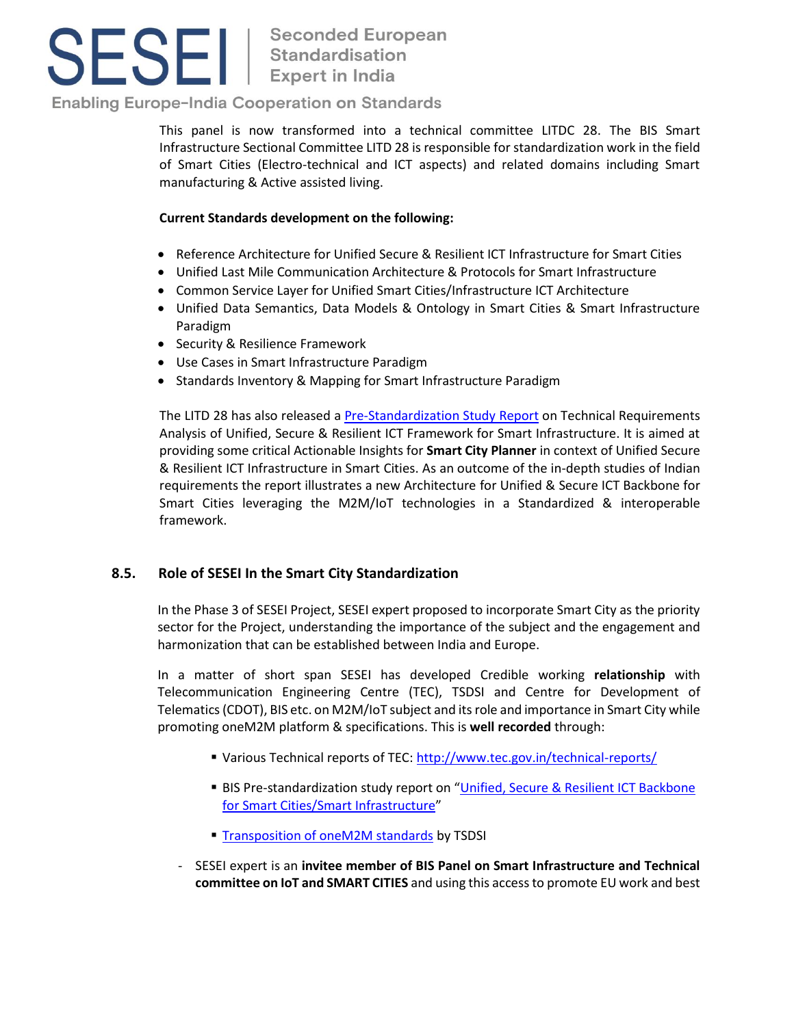## ESEI Seconded European<br>ESEI Standardisation<br>Expert in India **Enabling Europe-India Cooperation on Standards**

This panel is now transformed into a technical committee LITDC 28. The BIS Smart Infrastructure Sectional Committee LITD 28 is responsible for standardization work in the field of Smart Cities (Electro-technical and ICT aspects) and related domains including Smart manufacturing & Active assisted living.

#### **Current Standards development on the following:**

- Reference Architecture for Unified Secure & Resilient ICT Infrastructure for Smart Cities
- Unified Last Mile Communication Architecture & Protocols for Smart Infrastructure
- Common Service Layer for Unified Smart Cities/Infrastructure ICT Architecture
- Unified Data Semantics, Data Models & Ontology in Smart Cities & Smart Infrastructure Paradigm
- Security & Resilience Framework
- Use Cases in Smart Infrastructure Paradigm
- Standards Inventory & Mapping for Smart Infrastructure Paradigm

The LITD 28 has also released [a Pre-Standardization Study Report](http://www.bis.org.in/other/USR_ICT_FSI_V_1_0.pdf) on Technical Requirements Analysis of Unified, Secure & Resilient ICT Framework for Smart Infrastructure. It is aimed at providing some critical Actionable Insights for **Smart City Planner** in context of Unified Secure & Resilient ICT Infrastructure in Smart Cities. As an outcome of the in-depth studies of Indian requirements the report illustrates a new Architecture for Unified & Secure ICT Backbone for Smart Cities leveraging the M2M/IoT technologies in a Standardized & interoperable framework.

#### **8.5. Role of SESEI In the Smart City Standardization**

<span id="page-30-0"></span>In the Phase 3 of SESEI Project, SESEI expert proposed to incorporate Smart City as the priority sector for the Project, understanding the importance of the subject and the engagement and harmonization that can be established between India and Europe.

In a matter of short span SESEI has developed Credible working **relationship** with Telecommunication Engineering Centre (TEC), TSDSI and Centre for Development of Telematics (CDOT), BIS etc. on M2M/IoT subject and its role and importance in Smart City while promoting oneM2M platform & specifications. This is **well recorded** through:

- Various Technical reports of TEC:<http://www.tec.gov.in/technical-reports/>
- **BIS Pre-standardization study report on "Unified, Secure & Resilient ICT Backbone** [for Smart Cities/Smart Infrastructure](http://www.bis.org.in/other/LITD_08112017.pdf)"
- **[Transposition of oneM2M standards](http://tsdsi.org/main/onem2m/) by TSDSI**
- SESEI expert is an **invitee member of BIS Panel on Smart Infrastructure and Technical committee on IoT and SMART CITIES** and using this accessto promote EU work and best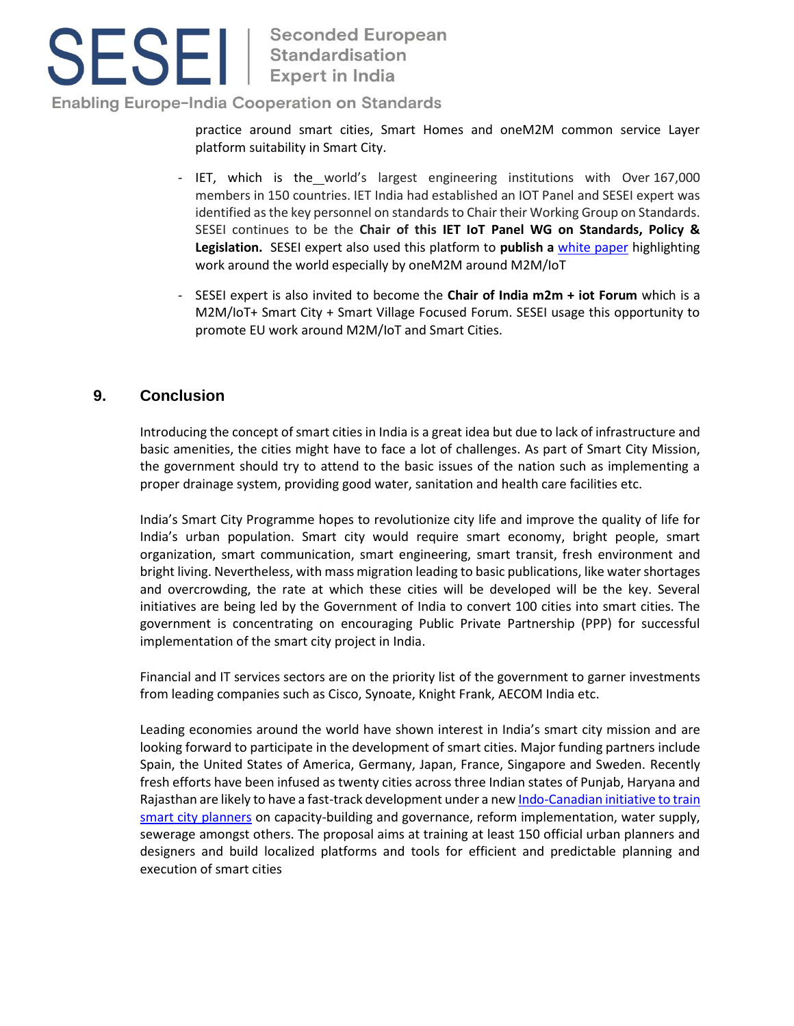## ESEI Seconded European<br>ESEI Standardisation<br>Expert in India **Enabling Europe-India Cooperation on Standards**

practice around smart cities, Smart Homes and oneM2M common service Layer platform suitability in Smart City.

- IET, which is the world's largest engineering institutions with Over 167,000 members in 150 countries. IET India had established an IOT Panel and SESEI expert was identified as the key personnel on standards to Chair their Working Group on Standards. SESEI continues to be the **Chair of this IET IoT Panel WG on Standards, Policy & Legislation.** SESEI expert also used this platform to **publish a** [white paper](http://theietindia.org/application/Standards_Legal_Privacy_Security.php) highlighting work around the world especially by oneM2M around M2M/IoT
- SESEI expert is also invited to become the **Chair of India m2m + iot Forum** which is a M2M/IoT+ Smart City + Smart Village Focused Forum. SESEI usage this opportunity to promote EU work around M2M/IoT and Smart Cities.

#### <span id="page-31-0"></span>**9. Conclusion**

Introducing the concept of smart cities in India is a great idea but due to lack of infrastructure and basic amenities, the cities might have to face a lot of challenges. As part of Smart City Mission, the government should try to attend to the basic issues of the nation such as implementing a proper drainage system, providing good water, sanitation and health care facilities etc.

India's Smart City Programme hopes to revolutionize city life and improve the quality of life for India's urban population. Smart city would require smart economy, bright people, smart organization, smart communication, smart engineering, smart transit, fresh environment and bright living. Nevertheless, with mass migration leading to basic publications, like water shortages and overcrowding, the rate at which these cities will be developed will be the key. Several initiatives are being led by the Government of India to convert 100 cities into smart cities. The government is concentrating on encouraging Public Private Partnership (PPP) for successful implementation of the smart city project in India.

Financial and IT services sectors are on the priority list of the government to garner investments from leading companies such as Cisco, Synoate, Knight Frank, AECOM India etc.

Leading economies around the world have shown interest in India's smart city mission and are looking forward to participate in the development of smart cities. Major funding partners include Spain, the United States of America, Germany, Japan, France, Singapore and Sweden. Recently fresh efforts have been infused as twenty cities across three Indian states of Punjab, Haryana and Rajasthan are likely to have a fast-track development under a ne[w Indo-Canadian initiative to train](http://niryatbandhu.iift.ac.in/news/NEWS/912018_Canada-India%20initiative%20for%20training%20of%20smart%20city%20planners.pdf)  [smart city planners](http://niryatbandhu.iift.ac.in/news/NEWS/912018_Canada-India%20initiative%20for%20training%20of%20smart%20city%20planners.pdf) on capacity-building and governance, reform implementation, water supply, sewerage amongst others. The proposal aims at training at least 150 official urban planners and designers and build localized platforms and tools for efficient and predictable planning and execution of smart cities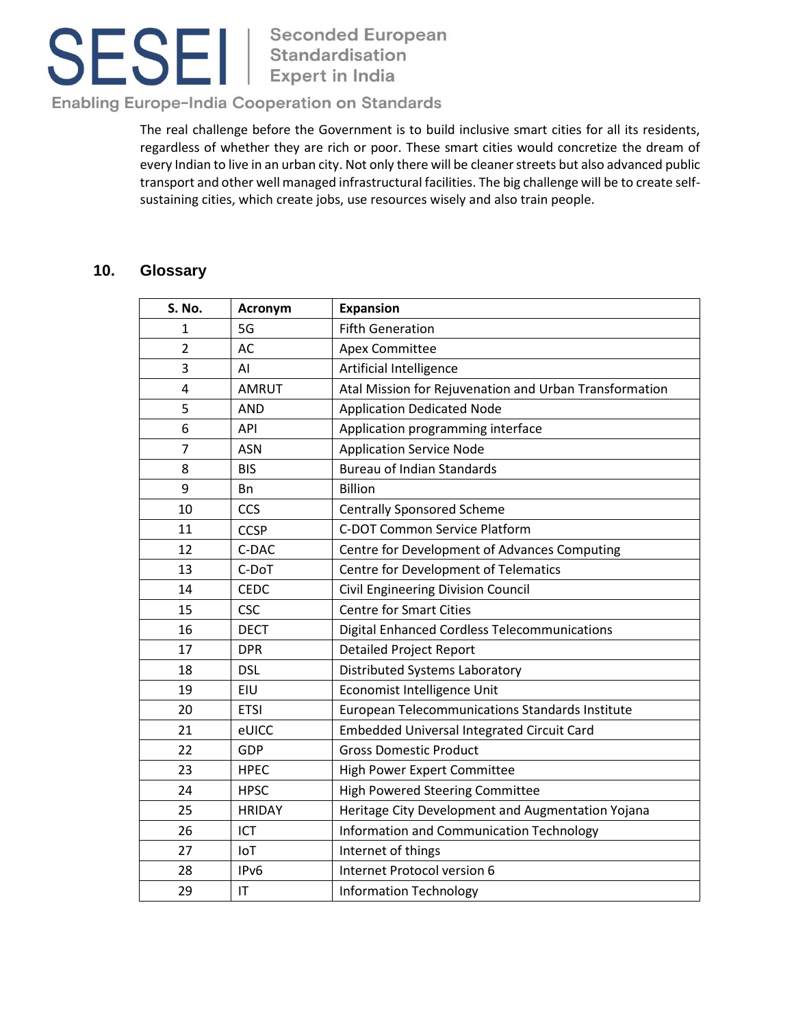## ESE | Seconded European<br>
ESE | Standardisation<br>
Expert in India **Enabling Europe-India Cooperation on Standards**

The real challenge before the Government is to build inclusive smart cities for all its residents, regardless of whether they are rich or poor. These smart cities would concretize the dream of every Indian to live in an urban city. Not only there will be cleaner streets but also advanced public transport and other well managed infrastructural facilities. The big challenge will be to create selfsustaining cities, which create jobs, use resources wisely and also train people.

#### <span id="page-32-0"></span>**10. Glossary**

| S. No.         | Acronym       | <b>Expansion</b>                                       |  |
|----------------|---------------|--------------------------------------------------------|--|
| 1              | 5G            | <b>Fifth Generation</b>                                |  |
| $\overline{2}$ | AC            | Apex Committee                                         |  |
| 3              | AI            | Artificial Intelligence                                |  |
| 4              | <b>AMRUT</b>  | Atal Mission for Rejuvenation and Urban Transformation |  |
| 5              | AND           | <b>Application Dedicated Node</b>                      |  |
| 6              | API           | Application programming interface                      |  |
| $\overline{7}$ | <b>ASN</b>    | <b>Application Service Node</b>                        |  |
| 8              | <b>BIS</b>    | <b>Bureau of Indian Standards</b>                      |  |
| 9              | <b>Bn</b>     | <b>Billion</b>                                         |  |
| 10             | <b>CCS</b>    | <b>Centrally Sponsored Scheme</b>                      |  |
| 11             | <b>CCSP</b>   | <b>C-DOT Common Service Platform</b>                   |  |
| 12             | C-DAC         | Centre for Development of Advances Computing           |  |
| 13             | C-DoT         | Centre for Development of Telematics                   |  |
| 14             | <b>CEDC</b>   | Civil Engineering Division Council                     |  |
| 15             | <b>CSC</b>    | <b>Centre for Smart Cities</b>                         |  |
| 16             | <b>DECT</b>   | Digital Enhanced Cordless Telecommunications           |  |
| 17             | <b>DPR</b>    | <b>Detailed Project Report</b>                         |  |
| 18             | <b>DSL</b>    | Distributed Systems Laboratory                         |  |
| 19             | EIU           | Economist Intelligence Unit                            |  |
| 20             | <b>ETSI</b>   | European Telecommunications Standards Institute        |  |
| 21             | eUICC         | <b>Embedded Universal Integrated Circuit Card</b>      |  |
| 22             | GDP           | <b>Gross Domestic Product</b>                          |  |
| 23             | <b>HPEC</b>   | High Power Expert Committee                            |  |
| 24             | <b>HPSC</b>   | <b>High Powered Steering Committee</b>                 |  |
| 25             | <b>HRIDAY</b> | Heritage City Development and Augmentation Yojana      |  |
| 26             | ICT           | Information and Communication Technology               |  |
| 27             | IoT           | Internet of things                                     |  |
| 28             | IPv6          | Internet Protocol version 6                            |  |
| 29             | IT            | <b>Information Technology</b>                          |  |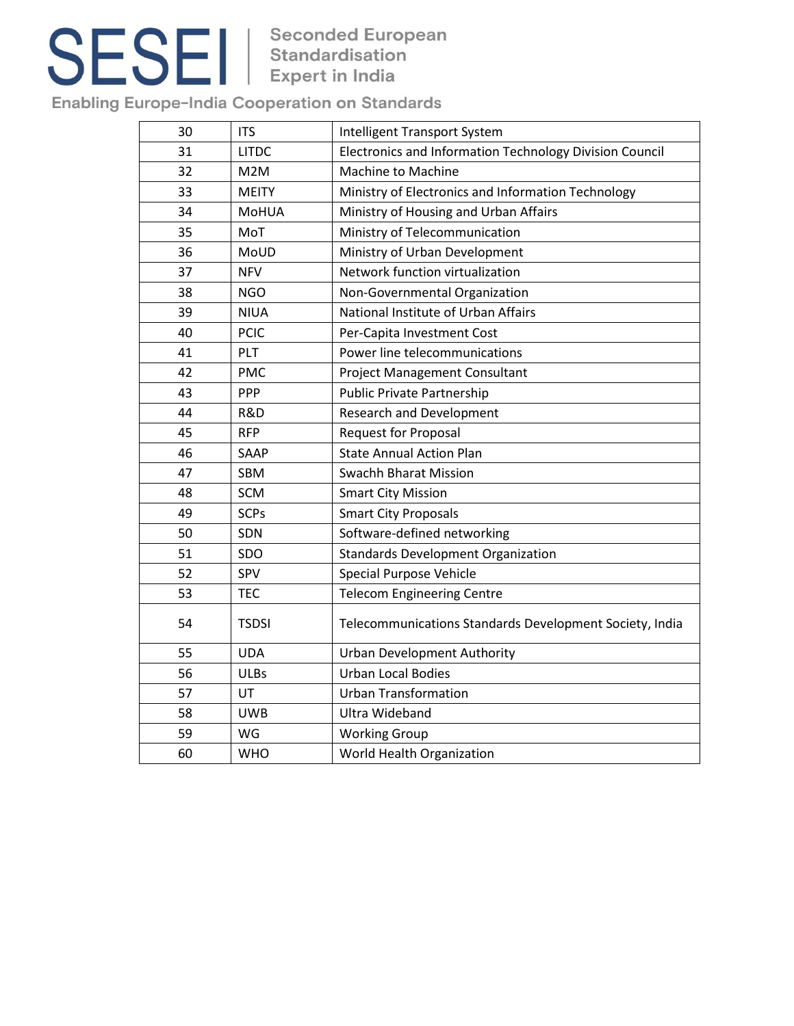| 30 | <b>ITS</b>   | Intelligent Transport System                            |
|----|--------------|---------------------------------------------------------|
| 31 | <b>LITDC</b> | Electronics and Information Technology Division Council |
| 32 | M2M          | <b>Machine to Machine</b>                               |
| 33 | <b>MEITY</b> | Ministry of Electronics and Information Technology      |
| 34 | <b>MoHUA</b> | Ministry of Housing and Urban Affairs                   |
| 35 | MoT          | Ministry of Telecommunication                           |
| 36 | MoUD         | Ministry of Urban Development                           |
| 37 | <b>NFV</b>   | Network function virtualization                         |
| 38 | <b>NGO</b>   | Non-Governmental Organization                           |
| 39 | <b>NIUA</b>  | National Institute of Urban Affairs                     |
| 40 | <b>PCIC</b>  | Per-Capita Investment Cost                              |
| 41 | PLT          | Power line telecommunications                           |
| 42 | <b>PMC</b>   | <b>Project Management Consultant</b>                    |
| 43 | PPP          | Public Private Partnership                              |
| 44 | R&D          | <b>Research and Development</b>                         |
| 45 | <b>RFP</b>   | <b>Request for Proposal</b>                             |
| 46 | SAAP         | <b>State Annual Action Plan</b>                         |
| 47 | <b>SBM</b>   | <b>Swachh Bharat Mission</b>                            |
| 48 | <b>SCM</b>   | <b>Smart City Mission</b>                               |
| 49 | <b>SCPs</b>  | <b>Smart City Proposals</b>                             |
| 50 | SDN          | Software-defined networking                             |
| 51 | SDO          | <b>Standards Development Organization</b>               |
| 52 | SPV          | <b>Special Purpose Vehicle</b>                          |
| 53 | <b>TEC</b>   | <b>Telecom Engineering Centre</b>                       |
| 54 | <b>TSDSI</b> | Telecommunications Standards Development Society, India |
| 55 | <b>UDA</b>   | <b>Urban Development Authority</b>                      |
| 56 | <b>ULBs</b>  | <b>Urban Local Bodies</b>                               |
| 57 | UT           | <b>Urban Transformation</b>                             |
| 58 | <b>UWB</b>   | <b>Ultra Wideband</b>                                   |
| 59 | WG           | <b>Working Group</b>                                    |
| 60 | <b>WHO</b>   | World Health Organization                               |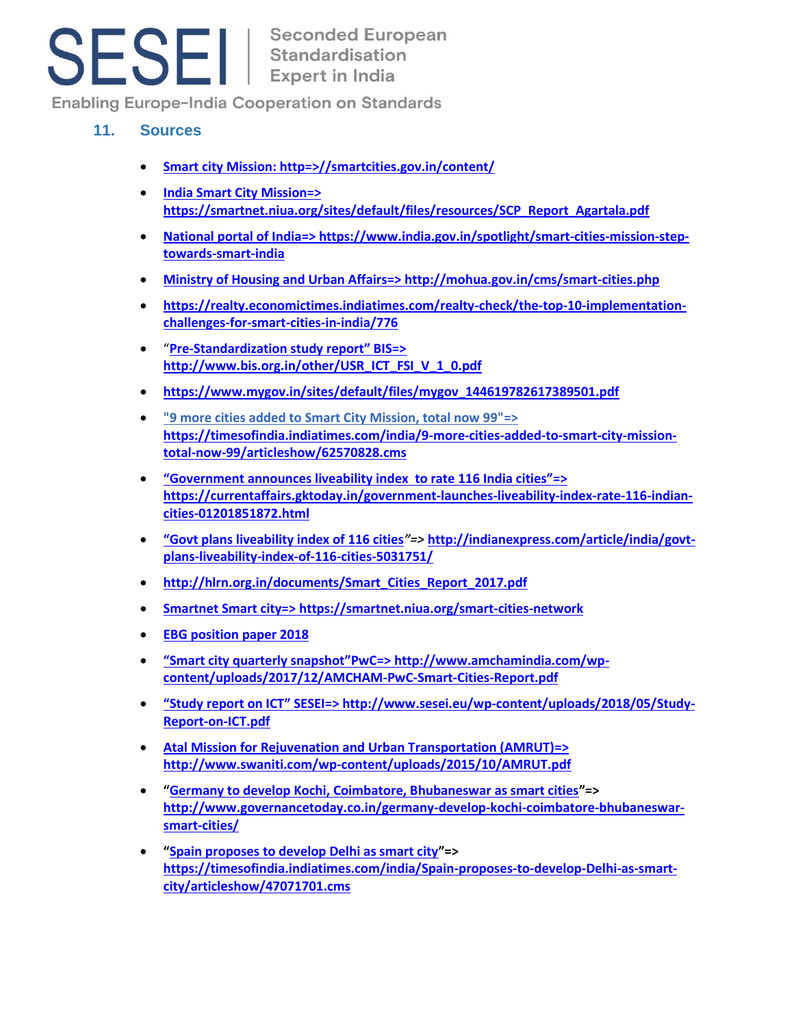# SESEI Seconded European

- <span id="page-34-0"></span>**11. Sources**
	- **[Smart city Mission:](http://smartcities.gov.in/content/) http=>//smartcities.gov.in/content/**
	- **[India Smart City Mission=](https://smartnet.niua.org/sites/default/files/resources/SCP_Report_Agartala.pdf)> [https://smartnet.niua.org/sites/default/files/resources/SCP\\_Report\\_Agartala.pdf](https://smartnet.niua.org/sites/default/files/resources/SCP_Report_Agartala.pdf)**
	- **[National portal of India=](https://www.india.gov.in/spotlight/smart-cities-mission-step-towards-smart-india)> https://www.india.gov.in/spotlight/smart-cities-mission-steptowards-smart-india**
	- **[Ministry of Housing and Urban Affairs=](http://mohua.gov.in/cms/smart-cities.php)><http://mohua.gov.in/cms/smart-cities.php>**
	- **[https://realty.economictimes.indiatimes.com/realty-check/the-top-10-implementation](https://realty.economictimes.indiatimes.com/realty-check/the-top-10-implementation-challenges-for-smart-cities-in-india/776)[challenges-for-smart-cities-in-india/776](https://realty.economictimes.indiatimes.com/realty-check/the-top-10-implementation-challenges-for-smart-cities-in-india/776)**
	- "**[Pre-Standardization study report](http://www.bis.org.in/other/USR_ICT_FSI_V_1_0.pdf)" BIS=> [http://www.bis.org.in/other/USR\\_ICT\\_FSI\\_V\\_1\\_0.pdf](http://www.bis.org.in/other/USR_ICT_FSI_V_1_0.pdf)**
	- **[https://www.mygov.in/sites/default/files/mygov\\_144619782617389501.pdf](https://www.mygov.in/sites/default/files/mygov_144619782617389501.pdf)**
	- **["9 more cities added to Smart City Mission, total now 99"=](https://timesofindia.indiatimes.com/india/9-more-cities-added-to-smart-city-mission-total-now-99/articleshow/62570828.cms)> [https://timesofindia.indiatimes.com/india/9-more-cities-added-to-smart-city-mission](https://timesofindia.indiatimes.com/india/9-more-cities-added-to-smart-city-mission-total-now-99/articleshow/62570828.cms)[total-now-99/articleshow/62570828.cms](https://timesofindia.indiatimes.com/india/9-more-cities-added-to-smart-city-mission-total-now-99/articleshow/62570828.cms)**
	- **"Government [announces liveability index to rate 116 India cities"](https://currentaffairs.gktoday.in/government-launches-liveability-index-rate-116-indian-cities-01201851872.html)=> [https://currentaffairs.gktoday.in/government-launches-liveability-index-rate-116-indian](https://currentaffairs.gktoday.in/government-launches-liveability-index-rate-116-indian-cities-01201851872.html)[cities-01201851872.html](https://currentaffairs.gktoday.in/government-launches-liveability-index-rate-116-indian-cities-01201851872.html)**
	- **"Govt plans [liveability index of 116 cities](http://indianexpress.com/article/india/govt-plans-liveability-index-of-116-cities-5031751/)***"=>* **[http://indianexpress.com/article/india/govt](http://indianexpress.com/article/india/govt-plans-liveability-index-of-116-cities-5031751/)[plans-liveability-index-of-116-cities-5031751/](http://indianexpress.com/article/india/govt-plans-liveability-index-of-116-cities-5031751/)**
	- **[http://hlrn.org.in/documents/Smart\\_Cities\\_Report\\_2017.pdf](http://hlrn.org.in/documents/Smart_Cities_Report_2017.pdf)**
	- **[Smartnet Smart city=> https://smartnet.niua.org/smart-cities-network](https://smartnet.niua.org/smart-cities-network)**
	- **EBG position paper 2018**
	- **"[Smart city quarterly snapshot](http://www.amchamindia.com/wp-content/uploads/2017/12/AMCHAM-PwC-Smart-Cities-Report.pdf)"PwC=> http://www.amchamindia.com/wpcontent/uploads/2017/12/AMCHAM-PwC-Smart-Cities-Report.pdf**
	- **"[Study report on ICT](http://www.sesei.eu/wp-content/uploads/2018/05/Study-Report-on-ICT.pdf)" SESEI=> [http://www.sesei.eu/wp-content/uploads/2018/05/Study-](http://www.sesei.eu/wp-content/uploads/2018/05/Study-Report-on-ICT.pdf)[Report-on-ICT.pdf](http://www.sesei.eu/wp-content/uploads/2018/05/Study-Report-on-ICT.pdf)**
	- **[Atal Mission for Rejuvenation and Urban Transportation \(AMRUT\)=](http://www.swaniti.com/wp-content/uploads/2015/10/AMRUT.pdf)> <http://www.swaniti.com/wp-content/uploads/2015/10/AMRUT.pdf>**
	- **"[Germany to develop Kochi, Coimbatore, Bhubaneswar as smart cities](http://www.governancetoday.co.in/germany-develop-kochi-coimbatore-bhubaneswar-smart-cities/)"=> [http://www.governancetoday.co.in/germany-develop-kochi-coimbatore-bhubaneswar](http://www.governancetoday.co.in/germany-develop-kochi-coimbatore-bhubaneswar-smart-cities/)[smart-cities/](http://www.governancetoday.co.in/germany-develop-kochi-coimbatore-bhubaneswar-smart-cities/)**
	- **"[Spain proposes to develop Delhi as smart city](https://timesofindia.indiatimes.com/india/Spain-proposes-to-develop-Delhi-as-smart-city/articleshow/47071701.cms)"=> [https://timesofindia.indiatimes.com/india/Spain-proposes-to-develop-Delhi-as-smart](https://timesofindia.indiatimes.com/india/Spain-proposes-to-develop-Delhi-as-smart-city/articleshow/47071701.cms)[city/articleshow/47071701.cms](https://timesofindia.indiatimes.com/india/Spain-proposes-to-develop-Delhi-as-smart-city/articleshow/47071701.cms)**